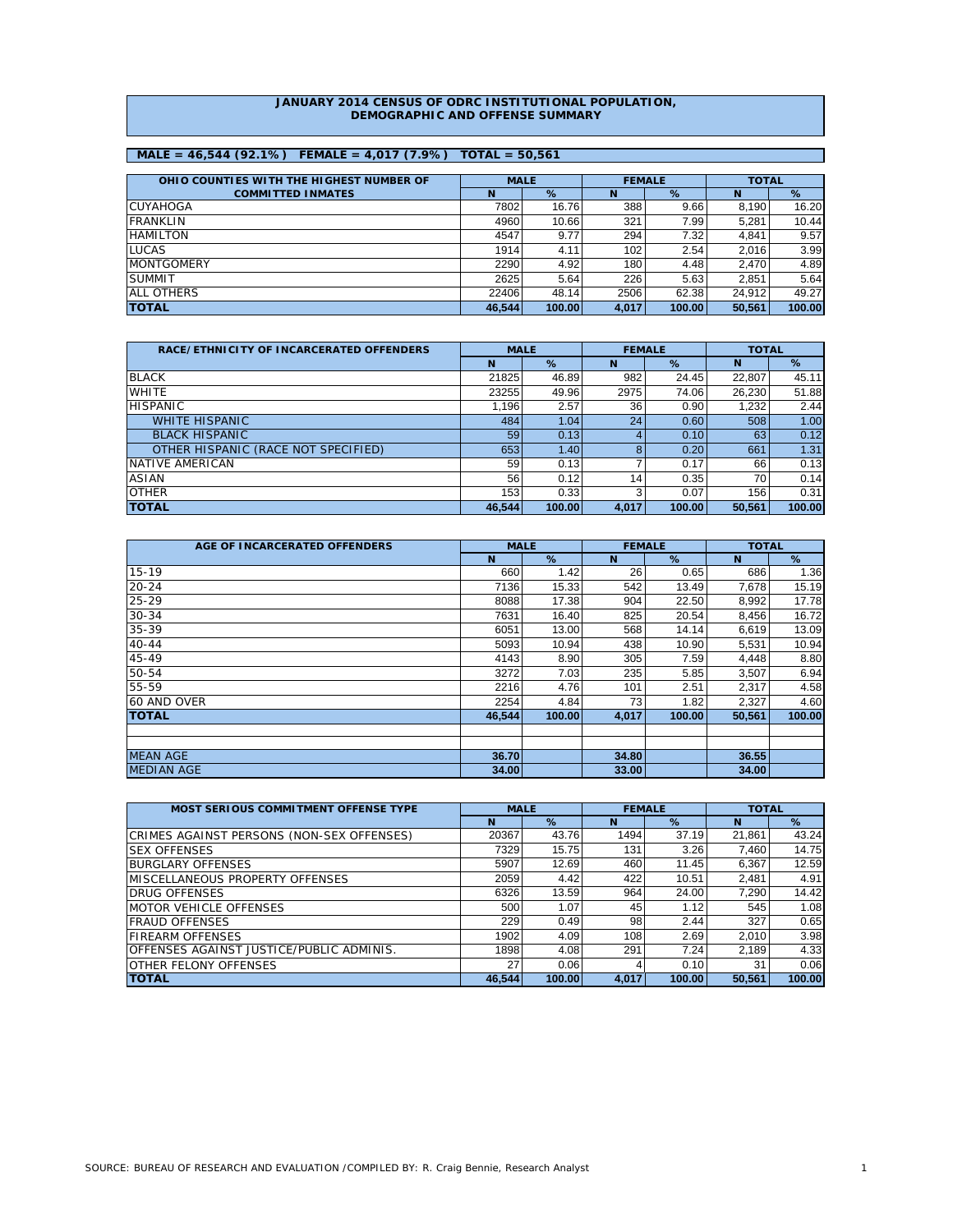#### **JANUARY 2014 CENSUS OF ODRC INSTITUTIONAL POPULATION, DEMOGRAPHIC AND OFFENSE SUMMARY**

# **MALE = 46,544 (92.1%) FEMALE = 4,017 (7.9%) TOTAL = 50,561**

| OHIO COUNTIES WITH THE HIGHEST NUMBER OF | <b>MALE</b> |        |       | <b>FEMALE</b> | <b>TOTAL</b> |        |
|------------------------------------------|-------------|--------|-------|---------------|--------------|--------|
| <b>COMMITTED INMATES</b>                 | N           | %      | N     | %             | N            | %      |
| <b>CUYAHOGA</b>                          | 7802        | 16.76  | 388   | 9.66          | 8.190        | 16.20  |
| <b>FRANKLIN</b>                          | 4960        | 10.66  | 321   | 7.99          | 5.281        | 10.44  |
| <b>HAMILTON</b>                          | 4547        | 9.77   | 294   | 7.32          | 4.841        | 9.57   |
| <b>LUCAS</b>                             | 1914        | 4.11   | 102   | 2.54          | 2.016        | 3.99   |
| <b>MONTGOMERY</b>                        | 2290        | 4.92   | 180   | 4.48          | 2.470        | 4.89   |
| <b>SUMMIT</b>                            | 2625        | 5.64   | 226   | 5.63          | 2.851        | 5.64   |
| <b>ALL OTHERS</b>                        | 22406       | 48.14  | 2506  | 62.38         | 24.912       | 49.27  |
| <b>ITOTAL</b>                            | 46.544      | 100.00 | 4.017 | 100.00        | 50.561       | 100.00 |

| RACE/ETHNICITY OF INCARCERATED OFFENDERS | <b>MALE</b> |        | <b>FEMALE</b> |        | <b>TOTAL</b> |        |  |
|------------------------------------------|-------------|--------|---------------|--------|--------------|--------|--|
|                                          | N           | %      | N             | %      | N            | %      |  |
| <b>BLACK</b>                             | 21825       | 46.89  | 982           | 24.45  | 22.807       | 45.11  |  |
| <b>WHITE</b>                             | 23255       | 49.96  | 2975          | 74.06  | 26,230       | 51.88  |  |
| <b>HISPANIC</b>                          | 1.196       | 2.57   | 36            | 0.90   | 1,232        | 2.44   |  |
| <b>WHITE HISPANIC</b>                    | 484         | 1.04   | 24            | 0.60   | 508          | 1.00   |  |
| <b>BLACK HISPANIC</b>                    | 59          | 0.13   |               | 0.10   | 63           | 0.12   |  |
| OTHER HISPANIC (RACE NOT SPECIFIED)      | 653         | 1.40   |               | 0.20   | 661          | 1.31   |  |
| NATIVE AMERICAN                          | 59          | 0.13   |               | 0.17   | 66           | 0.13   |  |
| <b>ASIAN</b>                             | 56          | 0.12   | 14            | 0.35   | 70           | 0.14   |  |
| <b>OTHER</b>                             | 153         | 0.33   |               | 0.07   | 156          | 0.31   |  |
| <b>TOTAL</b>                             | 46,544      | 100.00 | 4,017         | 100.00 | 50,561       | 100.00 |  |

| AGE OF INCARCERATED OFFENDERS | <b>MALE</b> |        | <b>FEMALE</b> |        | <b>TOTAL</b> |        |  |
|-------------------------------|-------------|--------|---------------|--------|--------------|--------|--|
|                               | N           | %      | N             | %      | N            | %      |  |
| $15 - 19$                     | 660         | 1.42   | 26            | 0.65   | 686          | 1.36   |  |
| $20 - 24$                     | 7136        | 15.33  | 542           | 13.49  | 7,678        | 15.19  |  |
| $25 - 29$                     | 8088        | 17.38  | 904           | 22.50  | 8,992        | 17.78  |  |
| $30 - 34$                     | 7631        | 16.40  | 825           | 20.54  | 8,456        | 16.72  |  |
| $35 - 39$                     | 6051        | 13.00  | 568           | 14.14  | 6,619        | 13.09  |  |
| $40 - 44$                     | 5093        | 10.94  | 438           | 10.90  | 5,531        | 10.94  |  |
| 45-49                         | 4143        | 8.90   | 305           | 7.59   | 4,448        | 8.80   |  |
| 50-54                         | 3272        | 7.03   | 235           | 5.85   | 3,507        | 6.94   |  |
| 55-59                         | 2216        | 4.76   | 101           | 2.51   | 2,317        | 4.58   |  |
| 60 AND OVER                   | 2254        | 4.84   | 73            | 1.82   | 2,327        | 4.60   |  |
| <b>TOTAL</b>                  | 46.544      | 100.00 | 4,017         | 100.00 | 50,561       | 100.00 |  |
|                               |             |        |               |        |              |        |  |
|                               |             |        |               |        |              |        |  |
| <b>MEAN AGE</b>               | 36.70       |        | 34.80         |        | 36.55        |        |  |
| <b>MEDIAN AGE</b>             | 34.00       |        | 33,00         |        | 34.00        |        |  |

| <b>MOST SERIOUS COMMITMENT OFFENSE TYPE</b> | <b>MALE</b> |        | <b>FEMALE</b> |        | <b>TOTAL</b> |        |  |
|---------------------------------------------|-------------|--------|---------------|--------|--------------|--------|--|
|                                             | N           | %      | N             | %      | N            | %      |  |
| CRIMES AGAINST PERSONS (NON-SEX OFFENSES)   | 20367       | 43.76  | 1494          | 37.19  | 21.861       | 43.24  |  |
| <b>ISEX OFFENSES</b>                        | 7329        | 15.75  | 131           | 3.26   | 7.460        | 14.75  |  |
| <b>BURGLARY OFFENSES</b>                    | 5907        | 12.69  | 460           | 11.45  | 6.367        | 12.59  |  |
| <b>IMISCELLANEOUS PROPERTY OFFENSES</b>     | 2059        | 4.42   | 422           | 10.51  | 2.481        | 4.91   |  |
| <b>DRUG OFFENSES</b>                        | 6326        | 13.59  | 964           | 24.00  | 7.290        | 14.42  |  |
| <b>MOTOR VEHICLE OFFENSES</b>               | 500         | 1.07   | 45            | 1.12   | 545          | 1.08   |  |
| <b>FRAUD OFFENSES</b>                       | 229         | 0.49   | 98            | 2.44   | 327          | 0.65   |  |
| <b>FIREARM OFFENSES</b>                     | 1902        | 4.09   | 108           | 2.69   | 2.010        | 3.98   |  |
| OFFENSES AGAINST JUSTICE/PUBLIC ADMINIS.    | 1898        | 4.08   | 291           | 7.24   | 2.189        | 4.33   |  |
| OTHER FELONY OFFENSES                       | 27          | 0.06   |               | 0.10   | 31           | 0.06   |  |
| <b>TOTAL</b>                                | 46.544      | 100.00 | 4.017         | 100.00 | 50.561       | 100.00 |  |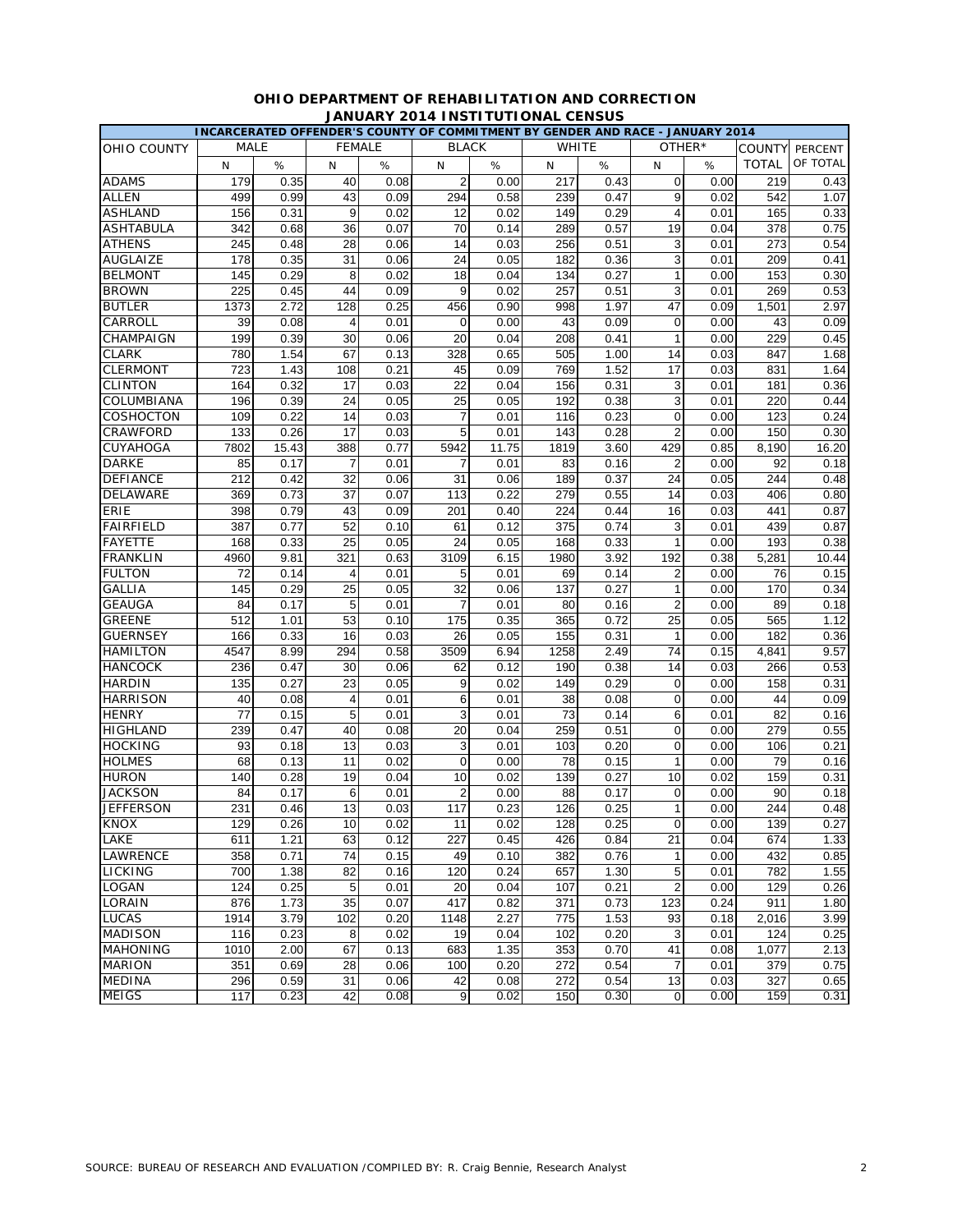|                  | INCARCERATED OFFENDER'S COUNTY OF COMMITMENT BY GENDER AND RACE - JANUARY 2014 |       |                |      |                  |       |                 |      |                     |        |               |          |
|------------------|--------------------------------------------------------------------------------|-------|----------------|------|------------------|-------|-----------------|------|---------------------|--------|---------------|----------|
| OHIO COUNTY      | MALE                                                                           |       | <b>FEMALE</b>  |      | <b>BLACK</b>     |       | <b>WHITE</b>    |      |                     | OTHER* | <b>COUNTY</b> | PERCENT  |
|                  | N                                                                              | $\%$  | N              | $\%$ | N                | %     | N               | %    | N                   | %      | <b>TOTAL</b>  | OF TOTAL |
| <b>ADAMS</b>     | 179                                                                            | 0.35  | 40             | 0.08 | $\overline{2}$   | 0.00  | 217             | 0.43 | 0                   | 0.00   | 219           | 0.43     |
| <b>ALLEN</b>     | 499                                                                            | 0.99  | 43             | 0.09 | 294              | 0.58  | 239             | 0.47 | 9                   | 0.02   | 542           | 1.07     |
| <b>ASHLAND</b>   | 156                                                                            | 0.31  | 9              | 0.02 | 12               | 0.02  | 149             | 0.29 | $\overline{4}$      | 0.01   | 165           | 0.33     |
| <b>ASHTABULA</b> | 342                                                                            | 0.68  | 36             | 0.07 | 70               | 0.14  | 289             | 0.57 | 19                  | 0.04   | 378           | 0.75     |
| <b>ATHENS</b>    | 245                                                                            | 0.48  | 28             | 0.06 | 14               | 0.03  | 256             | 0.51 | 3                   | 0.01   | 273           | 0.54     |
| <b>AUGLAIZE</b>  | 178                                                                            | 0.35  | 31             | 0.06 | 24               | 0.05  | 182             | 0.36 | 3                   | 0.01   | 209           | 0.41     |
| <b>BELMONT</b>   | 145                                                                            | 0.29  | 8              | 0.02 | 18               | 0.04  | 134             | 0.27 | $\mathbf{1}$        | 0.00   | 153           | 0.30     |
| <b>BROWN</b>     | 225                                                                            | 0.45  | 44             | 0.09 | 9                | 0.02  | 257             | 0.51 | 3                   | 0.01   | 269           | 0.53     |
| <b>BUTLER</b>    | 1373                                                                           | 2.72  | 128            | 0.25 | 456              | 0.90  | 998             | 1.97 | 47                  | 0.09   | 1,501         | 2.97     |
| CARROLL          | 39                                                                             | 0.08  | $\overline{4}$ | 0.01 | 0                | 0.00  | 43              | 0.09 | $\mathbf 0$         | 0.00   | 43            | 0.09     |
| CHAMPAIGN        | 199                                                                            | 0.39  | 30             | 0.06 | 20               | 0.04  | 208             | 0.41 | $\mathbf{1}$        | 0.00   | 229           | 0.45     |
| <b>CLARK</b>     | 780                                                                            | 1.54  | 67             | 0.13 | 328              | 0.65  | 505             | 1.00 | 14                  | 0.03   | 847           | 1.68     |
| <b>CLERMONT</b>  | 723                                                                            | 1.43  | 108            | 0.21 | 45               | 0.09  | 769             | 1.52 | 17                  | 0.03   | 831           | 1.64     |
| <b>CLINTON</b>   | 164                                                                            | 0.32  | 17             | 0.03 | 22               | 0.04  | 156             | 0.31 | 3                   | 0.01   | 181           | 0.36     |
| COLUMBIANA       | 196                                                                            | 0.39  | 24             | 0.05 | 25               | 0.05  | 192             | 0.38 | 3                   | 0.01   | 220           | 0.44     |
| COSHOCTON        | 109                                                                            | 0.22  | 14             | 0.03 | $\overline{7}$   | 0.01  | 116             | 0.23 | 0                   | 0.00   | 123           | 0.24     |
| CRAWFORD         | 133                                                                            | 0.26  | 17             | 0.03 | 5                | 0.01  | 143             | 0.28 | $\overline{2}$      | 0.00   | 150           | 0.30     |
| CUYAHOGA         | 7802                                                                           | 15.43 | 388            | 0.77 | 5942             | 11.75 | 1819            | 3.60 | 429                 | 0.85   | 8,190         | 16.20    |
| <b>DARKE</b>     | 85                                                                             | 0.17  | 7              | 0.01 | 7                | 0.01  | 83              | 0.16 | 2                   | 0.00   | 92            | 0.18     |
| <b>DEFIANCE</b>  | 212                                                                            | 0.42  | 32             | 0.06 | 31               | 0.06  | 189             | 0.37 | 24                  | 0.05   | 244           | 0.48     |
| <b>DELAWARE</b>  | 369                                                                            | 0.73  | 37             | 0.07 | 113              | 0.22  | 279             | 0.55 | 14                  | 0.03   | 406           | 0.80     |
| ERIE             | 398                                                                            | 0.79  | 43             | 0.09 | 201              | 0.40  | 224             | 0.44 | 16                  | 0.03   | 441           | 0.87     |
| <b>FAIRFIELD</b> | 387                                                                            | 0.77  | 52             | 0.10 | 61               | 0.12  | 375             | 0.74 | 3                   | 0.01   | 439           | 0.87     |
| <b>FAYETTE</b>   | 168                                                                            | 0.33  | 25             | 0.05 | 24               | 0.05  | 168             | 0.33 | $\overline{1}$      | 0.00   | 193           | 0.38     |
| <b>FRANKLIN</b>  | 4960                                                                           | 9.81  | 321            | 0.63 | 3109             | 6.15  | 1980            | 3.92 | 192                 | 0.38   | 5,281         | 10.44    |
| <b>FULTON</b>    | 72                                                                             | 0.14  | 4              | 0.01 | 5                | 0.01  | 69              | 0.14 | $\overline{2}$      | 0.00   | 76            | 0.15     |
| <b>GALLIA</b>    | 145                                                                            | 0.29  | 25             | 0.05 | 32               | 0.06  | 137             | 0.27 | $\mathbf{1}$        | 0.00   | 170           | 0.34     |
| <b>GEAUGA</b>    | 84                                                                             | 0.17  | 5              | 0.01 | $\overline{7}$   | 0.01  | 80              | 0.16 | $\overline{2}$      | 0.00   | 89            | 0.18     |
| <b>GREENE</b>    | 512                                                                            | 1.01  | 53             | 0.10 | 175              | 0.35  | 365             | 0.72 | 25                  | 0.05   | 565           | 1.12     |
| <b>GUERNSEY</b>  | 166                                                                            | 0.33  | 16             | 0.03 | 26               | 0.05  | 155             | 0.31 | $\mathbf{1}$        | 0.00   | 182           | 0.36     |
| <b>HAMILTON</b>  | 4547                                                                           | 8.99  | 294            | 0.58 | 3509             | 6.94  | 1258            | 2.49 | 74                  | 0.15   | 4,841         | 9.57     |
| <b>HANCOCK</b>   | 236                                                                            | 0.47  | 30             | 0.06 | 62               | 0.12  | 190             | 0.38 | 14                  | 0.03   | 266           | 0.53     |
| <b>HARDIN</b>    | 135                                                                            | 0.27  | 23             | 0.05 | 9                | 0.02  | 149             | 0.29 | 0                   | 0.00   | 158           | 0.31     |
| <b>HARRISON</b>  | 40                                                                             | 0.08  | 4              | 0.01 | 6                | 0.01  | 38              | 0.08 | $\mathbf 0$         | 0.00   | 44            | 0.09     |
| <b>HENRY</b>     | 77                                                                             | 0.15  | 5              | 0.01 | 3                | 0.01  | $\overline{73}$ | 0.14 | 6                   | 0.01   | 82            | 0.16     |
| <b>HIGHLAND</b>  | 239                                                                            | 0.47  | 40             | 0.08 | 20               | 0.04  | 259             | 0.51 | $\mathbf 0$         | 0.00   | 279           | 0.55     |
| <b>HOCKING</b>   | 93                                                                             | 0.18  | 13             | 0.03 | 3                | 0.01  | 103             | 0.20 | 0                   | 0.00   | 106           | 0.21     |
| <b>HOLMES</b>    | 68                                                                             | 0.13  | 11             | 0.02 | $\mathbf 0$      | 0.00  | 78              | 0.15 | $\mathbf{1}$        | 0.00   | 79            | 0.16     |
| <b>HURON</b>     | 140                                                                            | 0.28  | 19             | 0.04 | 10               | 0.02  | 139             | 0.27 | 10                  | 0.02   | 159           | 0.31     |
| <b>JACKSON</b>   | 84                                                                             | 0.17  | 6              | 0.01 | 2                | 0.00  | 88              | 0.17 | 0                   | 0.00   | 90            | 0.18     |
| <b>JEFFERSON</b> | 231                                                                            | 0.46  | 13             | 0.03 | 117              | 0.23  | 126             | 0.25 | $\mathbf{1}$        | 0.00   | 244           | 0.48     |
| <b>KNOX</b>      | 129                                                                            | 0.26  | 10             | 0.02 | $\overline{11}$  | 0.02  | 128             | 0.25 | $\boldsymbol{0}$    | 0.00   | 139           | 0.27     |
| LAKE             | 611                                                                            | 1.21  | 63             | 0.12 | 227              | 0.45  | 426             | 0.84 | 21                  | 0.04   | 674           | 1.33     |
| LAWRENCE         | 358                                                                            | 0.71  | 74             | 0.15 | 49               | 0.10  | 382             | 0.76 | $\mathbf{1}$        | 0.00   | 432           | 0.85     |
| LICKING          | 700                                                                            | 1.38  | 82             | 0.16 | 120              | 0.24  | 657             | 1.30 | 5                   | 0.01   | 782           | 1.55     |
| <b>LOGAN</b>     | 124                                                                            | 0.25  | 5              | 0.01 | 20               | 0.04  | 107             | 0.21 | $\overline{c}$      | 0.00   | 129           | 0.26     |
| LORAIN           | 876                                                                            | 1.73  | 35             | 0.07 | 417              | 0.82  | 371             | 0.73 | 123                 | 0.24   | 911           | 1.80     |
| <b>LUCAS</b>     | 1914                                                                           | 3.79  | 102            | 0.20 | 1148             | 2.27  | 775             | 1.53 | 93                  | 0.18   | 2,016         | 3.99     |
| <b>MADISON</b>   | 116                                                                            | 0.23  | 8              | 0.02 | 19               | 0.04  | 102             | 0.20 | 3                   | 0.01   | 124           | 0.25     |
| <b>MAHONING</b>  | 1010                                                                           | 2.00  | 67             | 0.13 | 683              | 1.35  | 353             | 0.70 | 41                  | 0.08   | 1,077         | 2.13     |
| <b>MARION</b>    | 351                                                                            | 0.69  | 28             | 0.06 | 100              | 0.20  | 272             | 0.54 | $\overline{7}$      | 0.01   | 379           | 0.75     |
| <b>MEDINA</b>    | 296                                                                            | 0.59  | 31             | 0.06 | 42               | 0.08  | 272             | 0.54 | 13                  | 0.03   | 327           | 0.65     |
| <b>MEIGS</b>     | 117                                                                            | 0.23  | 42             | 0.08 | $\boldsymbol{9}$ | 0.02  | 150             | 0.30 | $\mathsf{O}\xspace$ | 0.00   | 159           | 0.31     |

### **OHIO DEPARTMENT OF REHABILITATION AND CORRECTION JANUARY 2014 INSTITUTIONAL CENSUS**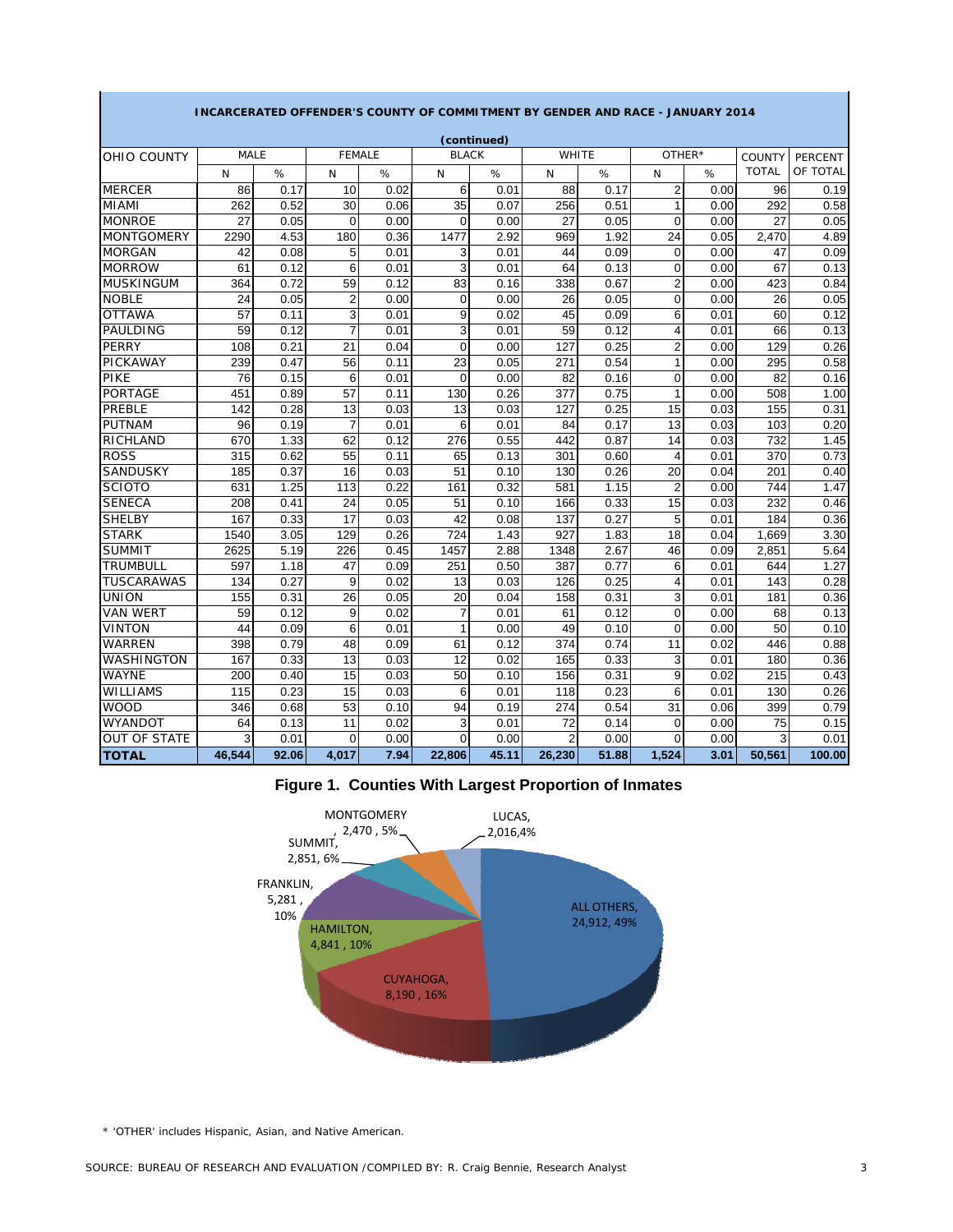|                     |             |       |                |      |                | (continued) |                |       |                |        |              |                |
|---------------------|-------------|-------|----------------|------|----------------|-------------|----------------|-------|----------------|--------|--------------|----------------|
| OHIO COUNTY         | <b>MALE</b> |       | <b>FEMALE</b>  |      | <b>BLACK</b>   |             | WHITE          |       |                | OTHER* | COUNTY       | <b>PERCENT</b> |
|                     | N           | %     | N              | %    | N              | %           | N              | %     | N              | %      | <b>TOTAL</b> | OF TOTAL       |
| <b>MERCER</b>       | 86          | 0.17  | 10             | 0.02 | 6              | 0.01        | 88             | 0.17  | $\overline{2}$ | 0.00   | 96           | 0.19           |
| <b>MIAMI</b>        | 262         | 0.52  | 30             | 0.06 | 35             | 0.07        | 256            | 0.51  | 1              | 0.00   | 292          | 0.58           |
| <b>MONROE</b>       | 27          | 0.05  | $\mathbf 0$    | 0.00 | $\Omega$       | 0.00        | 27             | 0.05  | $\Omega$       | 0.00   | 27           | 0.05           |
| <b>MONTGOMERY</b>   | 2290        | 4.53  | 180            | 0.36 | 1477           | 2.92        | 969            | 1.92  | 24             | 0.05   | 2,470        | 4.89           |
| <b>MORGAN</b>       | 42          | 0.08  | 5              | 0.01 | 3              | 0.01        | 44             | 0.09  | $\overline{0}$ | 0.00   | 47           | 0.09           |
| <b>MORROW</b>       | 61          | 0.12  | 6              | 0.01 | 3              | 0.01        | 64             | 0.13  | 0              | 0.00   | 67           | 0.13           |
| <b>MUSKINGUM</b>    | 364         | 0.72  | 59             | 0.12 | 83             | 0.16        | 338            | 0.67  | $\overline{2}$ | 0.00   | 423          | 0.84           |
| <b>NOBLE</b>        | 24          | 0.05  | $\overline{2}$ | 0.00 | $\mathbf 0$    | 0.00        | 26             | 0.05  | 0              | 0.00   | 26           | 0.05           |
| <b>OTTAWA</b>       | 57          | 0.11  | 3              | 0.01 | 9              | 0.02        | 45             | 0.09  | 6              | 0.01   | 60           | 0.12           |
| <b>PAULDING</b>     | 59          | 0.12  | $\overline{7}$ | 0.01 | $\overline{3}$ | 0.01        | 59             | 0.12  | 4              | 0.01   | 66           | 0.13           |
| <b>PERRY</b>        | 108         | 0.21  | 21             | 0.04 | $\mathbf 0$    | 0.00        | 127            | 0.25  | $\overline{2}$ | 0.00   | 129          | 0.26           |
| <b>PICKAWAY</b>     | 239         | 0.47  | 56             | 0.11 | 23             | 0.05        | 271            | 0.54  | 1              | 0.00   | 295          | 0.58           |
| PIKE                | 76          | 0.15  | 6              | 0.01 | $\Omega$       | 0.00        | 82             | 0.16  | $\Omega$       | 0.00   | 82           | 0.16           |
| <b>PORTAGE</b>      | 451         | 0.89  | 57             | 0.11 | 130            | 0.26        | 377            | 0.75  | 1              | 0.00   | 508          | 1.00           |
| PREBLE              | 142         | 0.28  | 13             | 0.03 | 13             | 0.03        | 127            | 0.25  | 15             | 0.03   | 155          | 0.31           |
| <b>PUTNAM</b>       | 96          | 0.19  | $\overline{7}$ | 0.01 | 6              | 0.01        | 84             | 0.17  | 13             | 0.03   | 103          | 0.20           |
| RICHLAND            | 670         | 1.33  | 62             | 0.12 | 276            | 0.55        | 442            | 0.87  | 14             | 0.03   | 732          | 1.45           |
| <b>ROSS</b>         | 315         | 0.62  | 55             | 0.11 | 65             | 0.13        | 301            | 0.60  | 4              | 0.01   | 370          | 0.73           |
| <b>SANDUSKY</b>     | 185         | 0.37  | 16             | 0.03 | 51             | 0.10        | 130            | 0.26  | 20             | 0.04   | 201          | 0.40           |
| <b>SCIOTO</b>       | 631         | 1.25  | 113            | 0.22 | 161            | 0.32        | 581            | 1.15  | $\overline{2}$ | 0.00   | 744          | 1.47           |
| <b>SENECA</b>       | 208         | 0.41  | 24             | 0.05 | 51             | 0.10        | 166            | 0.33  | 15             | 0.03   | 232          | 0.46           |
| <b>SHELBY</b>       | 167         | 0.33  | 17             | 0.03 | 42             | 0.08        | 137            | 0.27  | 5              | 0.01   | 184          | 0.36           |
| <b>STARK</b>        | 1540        | 3.05  | 129            | 0.26 | 724            | 1.43        | 927            | 1.83  | 18             | 0.04   | 1,669        | 3.30           |
| <b>SUMMIT</b>       | 2625        | 5.19  | 226            | 0.45 | 1457           | 2.88        | 1348           | 2.67  | 46             | 0.09   | 2,851        | 5.64           |
| <b>TRUMBULL</b>     | 597         | 1.18  | 47             | 0.09 | 251            | 0.50        | 387            | 0.77  | 6              | 0.01   | 644          | 1.27           |
| <b>TUSCARAWAS</b>   | 134         | 0.27  | 9              | 0.02 | 13             | 0.03        | 126            | 0.25  | 4              | 0.01   | 143          | 0.28           |
| <b>UNION</b>        | 155         | 0.31  | 26             | 0.05 | 20             | 0.04        | 158            | 0.31  | 3              | 0.01   | 181          | 0.36           |
| <b>VAN WERT</b>     | 59          | 0.12  | 9              | 0.02 | $\overline{7}$ | 0.01        | 61             | 0.12  | 0              | 0.00   | 68           | 0.13           |
| <b>VINTON</b>       | 44          | 0.09  | 6              | 0.01 | 1              | 0.00        | 49             | 0.10  | $\overline{0}$ | 0.00   | 50           | 0.10           |
| <b>WARREN</b>       | 398         | 0.79  | 48             | 0.09 | 61             | 0.12        | 374            | 0.74  | 11             | 0.02   | 446          | 0.88           |
| <b>WASHINGTON</b>   | 167         | 0.33  | 13             | 0.03 | 12             | 0.02        | 165            | 0.33  | 3              | 0.01   | 180          | 0.36           |
| <b>WAYNE</b>        | 200         | 0.40  | 15             | 0.03 | 50             | 0.10        | 156            | 0.31  | 9              | 0.02   | 215          | 0.43           |
| <b>WILLIAMS</b>     | 115         | 0.23  | 15             | 0.03 | 6              | 0.01        | 118            | 0.23  | 6              | 0.01   | 130          | 0.26           |
| <b>WOOD</b>         | 346         | 0.68  | 53             | 0.10 | 94             | 0.19        | 274            | 0.54  | 31             | 0.06   | 399          | 0.79           |
| <b>WYANDOT</b>      | 64          | 0.13  | 11             | 0.02 | 3              | 0.01        | 72             | 0.14  | 0              | 0.00   | 75           | 0.15           |
| <b>OUT OF STATE</b> | 3           | 0.01  | $\Omega$       | 0.00 | $\Omega$       | 0.00        | $\overline{c}$ | 0.00  | $\Omega$       | 0.00   | 3            | 0.01           |
| <b>TOTAL</b>        | 46,544      | 92.06 | 4,017          | 7.94 | 22,806         | 45.11       | 26,230         | 51.88 | 1.524          | 3.01   | 50.561       | 100.00         |

### **INCARCERATED OFFENDER'S COUNTY OF COMMITMENT BY GENDER AND RACE - JANUARY 2014**

# **Figure 1. Counties With Largest Proportion of Inmates**



\* 'OTHER' includes Hispanic, Asian, and Native American.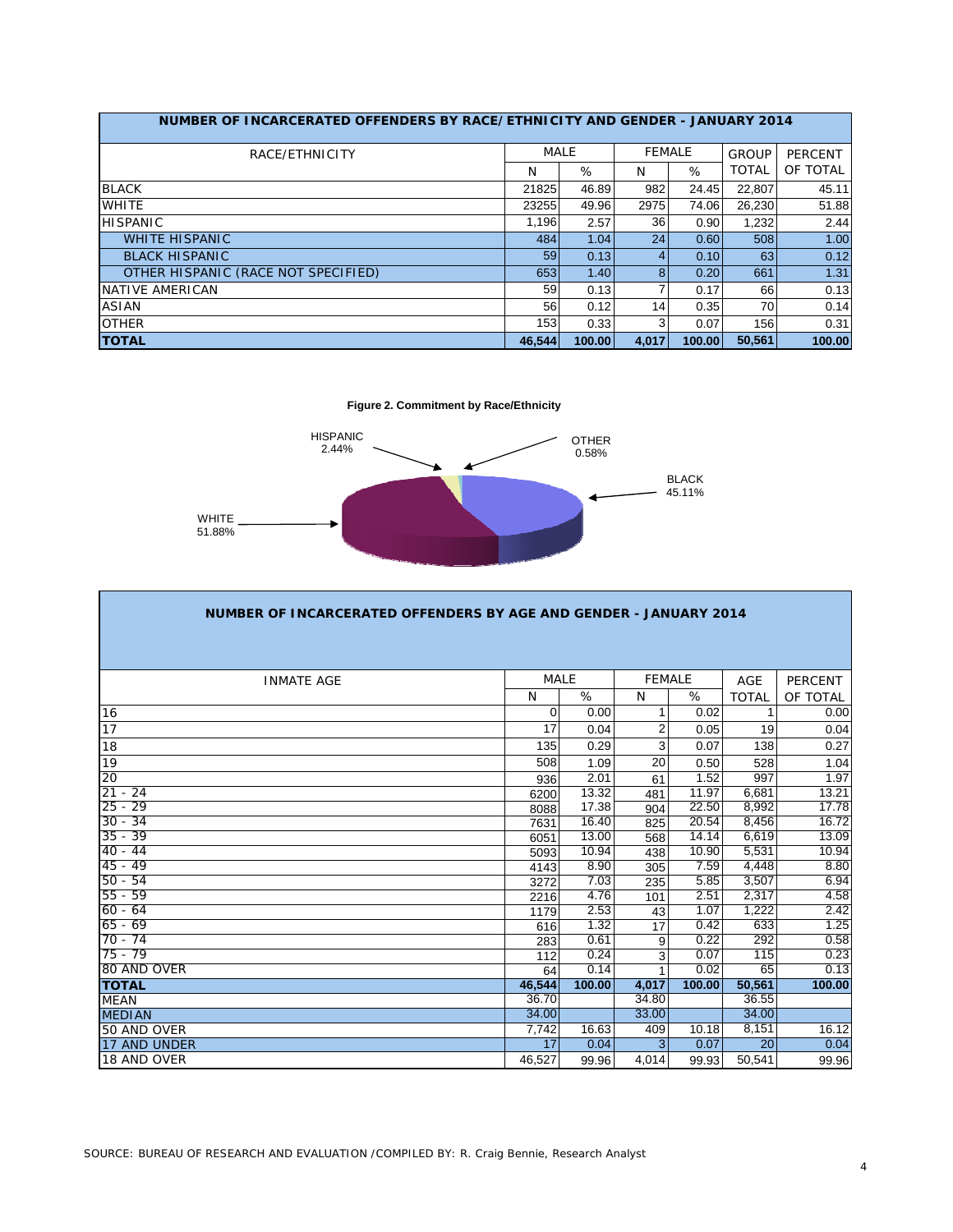| NUMBER OF INCARCERATED OFFENDERS BY RACE/ETHNICITY AND GENDER - JANUARY 2014 |             |        |               |        |              |                |  |  |  |  |  |  |  |
|------------------------------------------------------------------------------|-------------|--------|---------------|--------|--------------|----------------|--|--|--|--|--|--|--|
| RACE/ETHNICITY                                                               | <b>MALE</b> |        | <b>FEMALE</b> |        | GROUP        | <b>PERCENT</b> |  |  |  |  |  |  |  |
|                                                                              | N           | %      | N             | %      | <b>TOTAL</b> | OF TOTAL       |  |  |  |  |  |  |  |
| <b>BLACK</b>                                                                 | 21825       | 46.89  | 982           | 24.45  | 22.807       | 45.11          |  |  |  |  |  |  |  |
| <b>WHITE</b>                                                                 | 23255       | 49.96  | 2975          | 74.06  | 26,230       | 51.88          |  |  |  |  |  |  |  |
| <b>HISPANIC</b>                                                              | 1.196       | 2.57   | 36            | 0.90   | 1.232        | 2.44           |  |  |  |  |  |  |  |
| <b>WHITE HISPANIC</b>                                                        | 484         | 1.04   | 24            | 0.60   | 508          | 1.00           |  |  |  |  |  |  |  |
| <b>BLACK HISPANIC</b>                                                        | 59          | 0.13   | 4             | 0.10   | 63           | 0.12           |  |  |  |  |  |  |  |
| OTHER HISPANIC (RACE NOT SPECIFIED)                                          | 653         | 1.40   | 8             | 0.20   | 661          | 1.31           |  |  |  |  |  |  |  |
| NATIVE AMERICAN                                                              | 59          | 0.13   |               | 0.17   | 66           | 0.13           |  |  |  |  |  |  |  |
| <b>ASIAN</b>                                                                 | 56          | 0.12   | 14            | 0.35   | 70           | 0.14           |  |  |  |  |  |  |  |
| <b>OTHER</b>                                                                 | 153         | 0.33   | 3             | 0.07   | 156          | 0.31           |  |  |  |  |  |  |  |
| <b>TOTAL</b>                                                                 | 46.544      | 100.00 | 4.017         | 100.00 | 50.561       | 100.00         |  |  |  |  |  |  |  |

**Figure 2. Commitment by Race/Ethnicity**



| NUMBER OF INCARCERATED OFFENDERS BY AGE AND GENDER - JANUARY 2014 |             |        |               |        |              |                |  |  |  |  |  |  |
|-------------------------------------------------------------------|-------------|--------|---------------|--------|--------------|----------------|--|--|--|--|--|--|
|                                                                   |             |        |               |        |              |                |  |  |  |  |  |  |
| <b>INMATE AGE</b>                                                 | <b>MALE</b> |        | <b>FEMALE</b> |        | <b>AGE</b>   | <b>PERCENT</b> |  |  |  |  |  |  |
|                                                                   | N           | %      | N             | %      | <b>TOTAL</b> | OF TOTAL       |  |  |  |  |  |  |
| 16                                                                | 0           | 0.00   |               | 0.02   | 1            | 0.00           |  |  |  |  |  |  |
| 17                                                                | 17          | 0.04   | 2             | 0.05   | 19           | 0.04           |  |  |  |  |  |  |
| 18                                                                | 135         | 0.29   | 3             | 0.07   | 138          | 0.27           |  |  |  |  |  |  |
| 19                                                                | 508         | 1.09   | 20            | 0.50   | 528          | 1.04           |  |  |  |  |  |  |
| 20                                                                | 936         | 2.01   | 61            | 1.52   | 997          | 1.97           |  |  |  |  |  |  |
| 21<br>$-24$                                                       | 6200        | 13.32  | 481           | 11.97  | 6,681        | 13.21          |  |  |  |  |  |  |
| $25 - 29$                                                         | 8088        | 17.38  | 904           | 22.50  | 8,992        | 17.78          |  |  |  |  |  |  |
| $30 - 34$                                                         | 7631        | 16.40  | 825           | 20.54  | 8,456        | 16.72          |  |  |  |  |  |  |
| $35 - 39$                                                         | 6051        | 13.00  | 568           | 14.14  | 6,619        | 13.09          |  |  |  |  |  |  |
| $40 - 44$                                                         | 5093        | 10.94  | 438           | 10.90  | 5,531        | 10.94          |  |  |  |  |  |  |
| $45 - 49$                                                         | 4143        | 8.90   | 305           | 7.59   | 4,448        | 8.80           |  |  |  |  |  |  |
| $50 - 54$                                                         | 3272        | 7.03   | 235           | 5.85   | 3,507        | 6.94           |  |  |  |  |  |  |
| $55 - 59$                                                         | 2216        | 4.76   | 101           | 2.51   | 2,317        | 4.58           |  |  |  |  |  |  |
| $60 - 64$                                                         | 1179        | 2.53   | 43            | 1.07   | 1,222        | 2.42           |  |  |  |  |  |  |
| $65 - 69$                                                         | 616         | 1.32   | 17            | 0.42   | 633          | 1.25           |  |  |  |  |  |  |
| $70 - 74$                                                         | 283         | 0.61   | 9             | 0.22   | 292          | 0.58           |  |  |  |  |  |  |
| $75 - 79$                                                         | 112         | 0.24   | 3             | 0.07   | 115          | 0.23           |  |  |  |  |  |  |
| 80 AND OVER                                                       | 64          | 0.14   |               | 0.02   | 65           | 0.13           |  |  |  |  |  |  |
| <b>TOTAL</b>                                                      | 46,544      | 100.00 | 4.017         | 100.00 | 50,561       | 100.00         |  |  |  |  |  |  |
| <b>MEAN</b>                                                       | 36.70       |        | 34.80         |        | 36.55        |                |  |  |  |  |  |  |
| <b>MEDIAN</b>                                                     | 34.00       |        | 33.00         |        | 34.00        |                |  |  |  |  |  |  |
| 50 AND OVER                                                       | 7,742       | 16.63  | 409           | 10.18  | 8,151        | 16.12          |  |  |  |  |  |  |
| 17 AND UNDER                                                      | 17          | 0.04   | 3             | 0.07   | 20           | 0.04           |  |  |  |  |  |  |
| 18 AND OVER                                                       | 46,527      | 99.96  | 4,014         | 99.93  | 50,541       | 99.96          |  |  |  |  |  |  |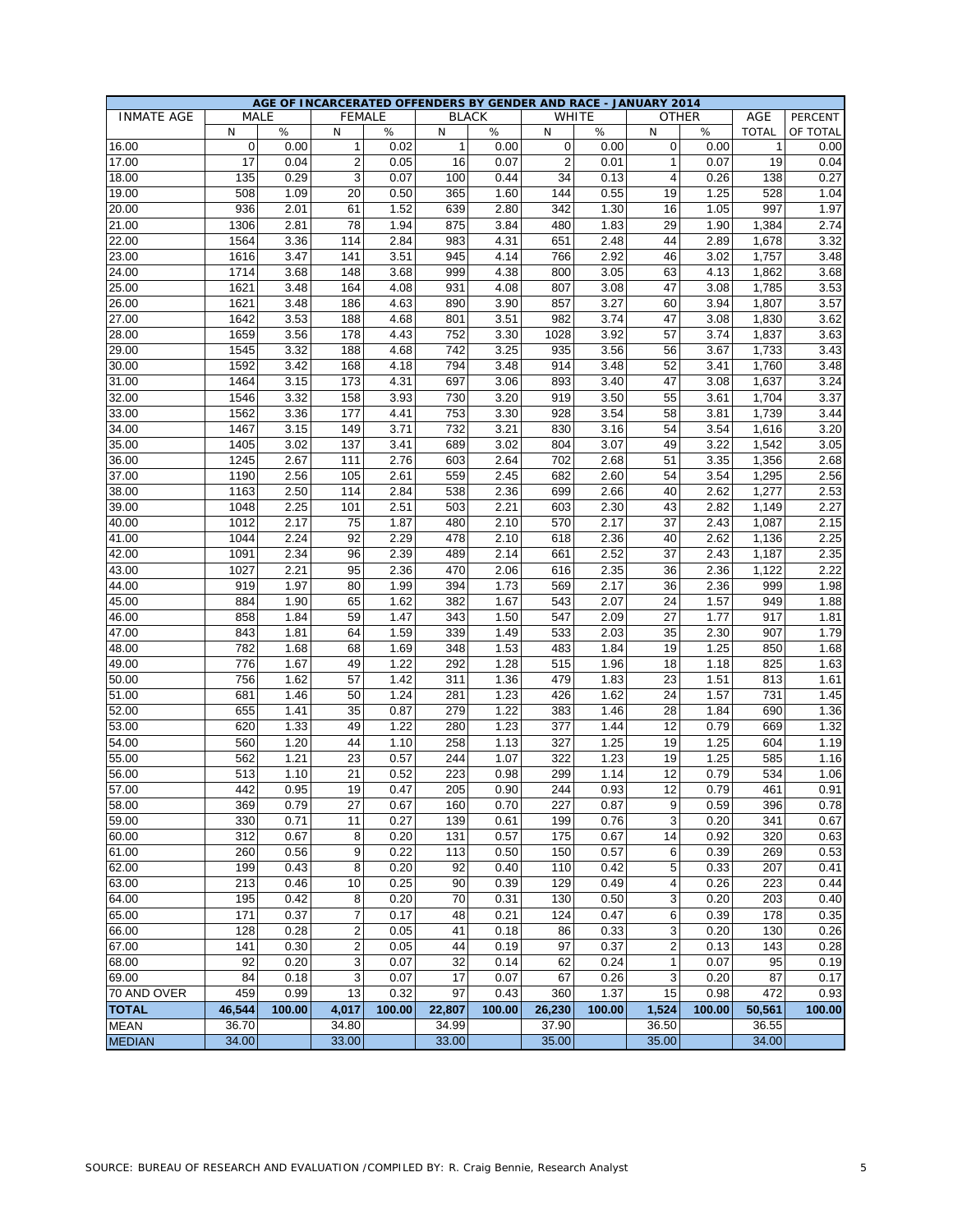|                   |              |              |                         |              |              |              | AGE OF INCARCERATED OFFENDERS BY GENDER AND RACE - JANUARY 2014 |              |              |              |              |          |
|-------------------|--------------|--------------|-------------------------|--------------|--------------|--------------|-----------------------------------------------------------------|--------------|--------------|--------------|--------------|----------|
| <b>INMATE AGE</b> |              | <b>MALE</b>  | <b>FEMALE</b>           |              |              | <b>BLACK</b> | <b>WHITE</b>                                                    |              |              | <b>OTHER</b> | AGE          | PERCENT  |
|                   | N            | ℅            | N                       | $\%$         | N            | %            | N                                                               | %            | N            | %            | <b>TOTAL</b> | OF TOTAL |
| 16.00             | $\mathbf 0$  | 0.00         | $\mathbf{1}$            | 0.02         | $\mathbf{1}$ | 0.00         | 0                                                               | 0.00         | $\mathbf 0$  | 0.00         | $\mathbf{1}$ | 0.00     |
| 17.00             | 17           | 0.04         | $\overline{\mathbf{c}}$ | 0.05         | 16           | 0.07         | 2                                                               | 0.01         | 1            | 0.07         | 19           | 0.04     |
| 18.00             | 135          | 0.29         | 3                       | 0.07         | 100          | 0.44         | 34                                                              | 0.13         | 4            | 0.26         | 138          | 0.27     |
| 19.00             | 508          | 1.09         | 20                      | 0.50         | 365          | 1.60         | 144                                                             | 0.55         | 19           | 1.25         | 528          | 1.04     |
| 20.00             | 936          | 2.01         | 61                      | 1.52         | 639          | 2.80         | 342                                                             | 1.30         | 16           | 1.05         | 997          | 1.97     |
| 21.00             | 1306         | 2.81         | 78                      | 1.94         | 875          | 3.84         | 480                                                             | 1.83         | 29           | 1.90         | 1,384        | 2.74     |
| 22.00             | 1564         | 3.36         | 114                     | 2.84         | 983          | 4.31         | 651                                                             | 2.48         | 44           | 2.89         | 1,678        | 3.32     |
| 23.00             | 1616         | 3.47         | 141                     | 3.51         | 945          | 4.14         | 766                                                             | 2.92         | 46           | 3.02         | 1,757        | 3.48     |
| 24.00             | 1714         | 3.68         | 148                     | 3.68         | 999          | 4.38         | 800                                                             | 3.05         | 63           | 4.13         | 1,862        | 3.68     |
| 25.00             | 1621         | 3.48         | 164                     | 4.08         | 931          | 4.08         | 807                                                             | 3.08         | 47           | 3.08         | 1,785        | 3.53     |
| 26.00             | 1621         | 3.48         | 186                     | 4.63         | 890          | 3.90         | 857                                                             | 3.27         | 60           | 3.94         | 1,807        | 3.57     |
| 27.00             | 1642         | 3.53         | 188                     | 4.68         | 801          | 3.51         | 982                                                             | 3.74         | 47           | 3.08         | 1,830        | 3.62     |
| 28.00             | 1659         | 3.56         | 178                     | 4.43         | 752          | 3.30         | 1028                                                            | 3.92         | 57           | 3.74         | 1,837        | 3.63     |
| 29.00             | 1545         | 3.32         | 188                     | 4.68         | 742          | 3.25         | 935                                                             | 3.56         | 56           | 3.67         | 1,733        | 3.43     |
| 30.00             | 1592         | 3.42         | 168                     | 4.18         | 794          | 3.48         | 914                                                             | 3.48         | 52           | 3.41         | 1,760        | 3.48     |
| 31.00             | 1464         | 3.15         | 173                     | 4.31         | 697          | 3.06         | 893                                                             | 3.40         | 47           | 3.08         | 1,637        | 3.24     |
| 32.00             | 1546         | 3.32         | 158                     | 3.93         | 730          | 3.20         | 919                                                             | 3.50         | 55           | 3.61         | 1,704        | 3.37     |
| 33.00             | 1562         | 3.36         | 177                     | 4.41         | 753          | 3.30         | 928                                                             | 3.54         | 58           | 3.81         | 1,739        | 3.44     |
| 34.00             | 1467         | 3.15         | 149                     | 3.71         | 732          | 3.21         | 830                                                             | 3.16         | 54           | 3.54         | 1,616        | 3.20     |
| 35.00             | 1405         | 3.02         | 137                     | 3.41         | 689          | 3.02         | 804                                                             | 3.07         | 49           | 3.22         | 1.542        | 3.05     |
| 36.00             | 1245         | 2.67         | 111                     | 2.76         | 603          | 2.64         | 702                                                             | 2.68         | 51           | 3.35         | 1,356        | 2.68     |
| 37.00             | 1190         | 2.56         | 105                     | 2.61         | 559          | 2.45         | 682                                                             | 2.60         | 54           | 3.54         | 1,295        | 2.56     |
| 38.00             | 1163         | 2.50         | 114                     | 2.84         | 538          | 2.36         | 699                                                             | 2.66         | 40           | 2.62         | 1,277        | 2.53     |
| 39.00             | 1048         | 2.25         | 101                     | 2.51         | 503          | 2.21         | 603                                                             | 2.30         | 43           | 2.82         | 1,149        | 2.27     |
| 40.00             | 1012         | 2.17         | 75                      | 1.87         | 480          | 2.10         | 570                                                             | 2.17         | 37           | 2.43         | 1,087        | 2.15     |
|                   |              |              |                         |              |              |              |                                                                 |              |              |              |              |          |
| 41.00             | 1044<br>1091 | 2.24<br>2.34 | 92<br>96                | 2.29<br>2.39 | 478<br>489   | 2.10<br>2.14 | 618<br>661                                                      | 2.36<br>2.52 | 40<br>37     | 2.62<br>2.43 | 1,136        | 2.25     |
| 42.00             |              |              | 95                      |              | 470          |              |                                                                 |              |              | 2.36         | 1,187        | 2.35     |
| 43.00             | 1027         | 2.21<br>1.97 |                         | 2.36         |              | 2.06         | 616                                                             | 2.35<br>2.17 | 36           |              | 1,122<br>999 | 2.22     |
| 44.00             | 919          |              | 80                      | 1.99         | 394          | 1.73         | 569                                                             |              | 36           | 2.36         |              | 1.98     |
| 45.00             | 884          | 1.90         | 65                      | 1.62         | 382          | 1.67         | 543                                                             | 2.07         | 24           | 1.57         | 949          | 1.88     |
| 46.00             | 858          | 1.84         | 59                      | 1.47         | 343          | 1.50         | 547                                                             | 2.09         | 27           | 1.77         | 917          | 1.81     |
| 47.00             | 843          | 1.81         | 64                      | 1.59         | 339          | 1.49         | 533                                                             | 2.03         | 35           | 2.30         | 907          | 1.79     |
| 48.00             | 782          | 1.68         | 68                      | 1.69         | 348          | 1.53         | 483                                                             | 1.84         | 19           | 1.25         | 850          | 1.68     |
| 49.00             | 776          | 1.67         | 49                      | 1.22         | 292          | 1.28         | 515                                                             | 1.96         | 18           | 1.18         | 825          | 1.63     |
| 50.00             | 756          | 1.62         | 57                      | 1.42         | 311          | 1.36         | 479                                                             | 1.83         | 23           | 1.51         | 813          | 1.61     |
| 51.00             | 681          | 1.46         | 50                      | 1.24         | 281          | 1.23         | 426                                                             | 1.62         | 24           | 1.57         | 731          | 1.45     |
| 52.00             | 655          | 1.41         | 35                      | 0.87         | 279          | 1.22         | 383                                                             | 1.46         | 28           | 1.84         | 690          | 1.36     |
| 53.00             | 620          | 1.33         | 49                      | 1.22         | 280          | 1.23         | 377                                                             | 1.44         | 12           | 0.79         | 669          | 1.32     |
| 54.00             | 560          | 1.20         | 44                      | 1.10         | 258          | 1.13         | 327                                                             | 1.25         | 19           | 1.25         | 604          | 1.19     |
| 55.00             | 562          | 1.21         | 23                      | 0.57         | 244          | 1.07         | 322                                                             | 1.23         | 19           | 1.25         | 585          | 1.16     |
| 56.00             | 513          | 1.10         | 21                      | 0.52         | 223          | 0.98         | 299                                                             | 1.14         | 12           | 0.79         | 534          | 1.06     |
| 57.00             | 442          | 0.95         | 19                      | 0.47         | 205          | 0.90         | 244                                                             | 0.93         | 12           | 0.79         | 461          | 0.91     |
| 58.00             | 369          | 0.79         | 27                      | 0.67         | 160          | 0.70         | 227                                                             | 0.87         | 9            | 0.59         | 396          | 0.78     |
| 59.00             | 330          | 0.71         | 11                      | 0.27         | 139          | 0.61         | 199                                                             | 0.76         | 3            | 0.20         | 341          | 0.67     |
| 60.00             | 312          | 0.67         | 8                       | 0.20         | 131          | 0.57         | 175                                                             | 0.67         | 14           | 0.92         | 320          | 0.63     |
| 61.00             | 260          | 0.56         | 9                       | 0.22         | 113          | 0.50         | 150                                                             | 0.57         | 6            | 0.39         | 269          | 0.53     |
| 62.00             | 199          | 0.43         | 8                       | 0.20         | 92           | 0.40         | 110                                                             | 0.42         | 5            | 0.33         | 207          | 0.41     |
| 63.00             | 213          | 0.46         | 10                      | 0.25         | 90           | 0.39         | 129                                                             | 0.49         | 4            | 0.26         | 223          | 0.44     |
| 64.00             | 195          | 0.42         | 8                       | 0.20         | 70           | 0.31         | 130                                                             | 0.50         | 3            | 0.20         | 203          | 0.40     |
| 65.00             | 171          | 0.37         | $\overline{7}$          | 0.17         | 48           | 0.21         | 124                                                             | 0.47         | 6            | 0.39         | 178          | 0.35     |
| 66.00             | 128          | 0.28         | $\overline{c}$          | 0.05         | 41           | 0.18         | 86                                                              | 0.33         | 3            | 0.20         | 130          | 0.26     |
| 67.00             | 141          | 0.30         | $\overline{\mathbf{c}}$ | 0.05         | 44           | 0.19         | 97                                                              | 0.37         | 2            | 0.13         | 143          | 0.28     |
| 68.00             | 92           | 0.20         | 3                       | 0.07         | 32           | 0.14         | 62                                                              | 0.24         | $\mathbf{1}$ | 0.07         | 95           | 0.19     |
| 69.00             | 84           | 0.18         | 3                       | 0.07         | 17           | 0.07         | 67                                                              | 0.26         | 3            | 0.20         | 87           | 0.17     |
| 70 AND OVER       | 459          | 0.99         | 13                      | 0.32         | 97           | 0.43         | 360                                                             | 1.37         | 15           | 0.98         | 472          | 0.93     |
| <b>TOTAL</b>      | 46,544       | 100.00       | 4,017                   | 100.00       | 22,807       | 100.00       | 26,230                                                          | 100.00       | 1,524        | 100.00       | 50,561       | 100.00   |
| <b>MEAN</b>       | 36.70        |              | 34.80                   |              | 34.99        |              | 37.90                                                           |              | 36.50        |              | 36.55        |          |
| <b>MEDIAN</b>     | 34.00        |              | 33.00                   |              | 33.00        |              | 35.00                                                           |              | 35.00        |              | 34.00        |          |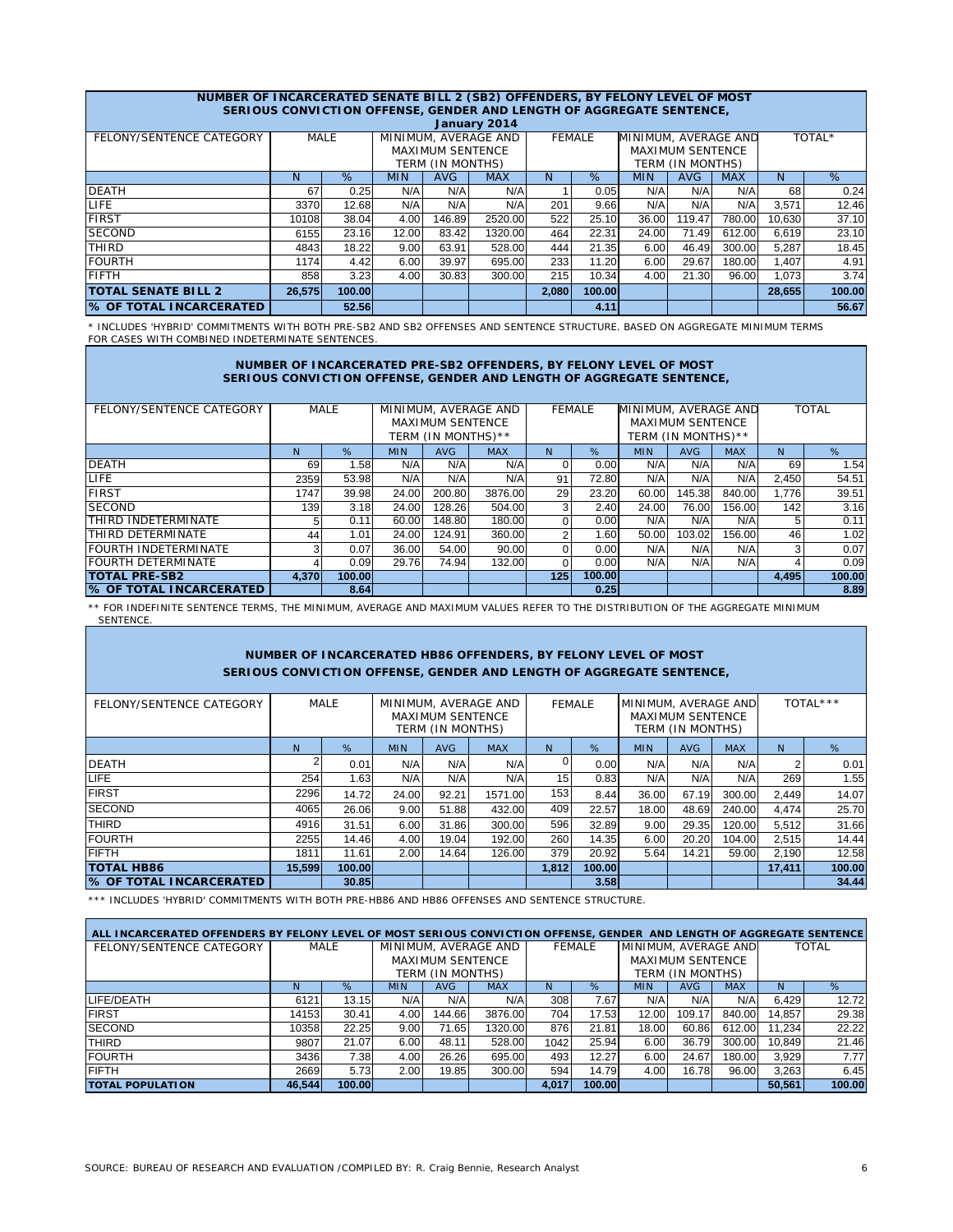| NUMBER OF INCARCERATED SENATE BILL 2 (SB2) OFFENDERS, BY FELONY LEVEL OF MOST |                                                                                  |                                                                                                  |       |        | SERIOUS CONVICTION OFFENSE, GENDER AND LENGTH OF AGGREGATE SENTENCE, |       |               |       |        |        |        |        |  |  |
|-------------------------------------------------------------------------------|----------------------------------------------------------------------------------|--------------------------------------------------------------------------------------------------|-------|--------|----------------------------------------------------------------------|-------|---------------|-------|--------|--------|--------|--------|--|--|
|                                                                               | January 2014<br>MINIMUM, AVERAGE AND<br>MINIMUM, AVERAGE AND                     |                                                                                                  |       |        |                                                                      |       |               |       |        |        |        |        |  |  |
| FELONY/SENTENCE CATEGORY                                                      | MALE                                                                             |                                                                                                  |       |        |                                                                      |       | <b>FEMALE</b> |       |        |        |        | TOTAL* |  |  |
|                                                                               |                                                                                  | <b>MAXIMUM SENTENCE</b><br><b>MAXIMUM SENTENCE</b>                                               |       |        |                                                                      |       |               |       |        |        |        |        |  |  |
|                                                                               |                                                                                  | TERM (IN MONTHS)<br>TERM (IN MONTHS)<br>N                                                        |       |        |                                                                      |       |               |       |        |        |        |        |  |  |
|                                                                               | N                                                                                | %<br>%<br><b>AVG</b><br><b>AVG</b><br><b>MIN</b><br><b>MAX</b><br><b>MAX</b><br>N.<br><b>MIN</b> |       |        |                                                                      |       |               |       |        |        |        | %      |  |  |
| <b>DEATH</b>                                                                  | 67                                                                               | 0.25                                                                                             | N/A   | N/A    | N/A                                                                  |       | 0.05          | N/A   | N/A    | N/A    | 68     | 0.24   |  |  |
| LIFE.                                                                         | 3370                                                                             | 12.68                                                                                            | N/A   | N/A    | N/A                                                                  | 201   | 9.66          | N/A   | N/A    | N/A    | 3.571  | 12.46  |  |  |
| <b>FIRST</b>                                                                  | 10108                                                                            | 38.04                                                                                            | 4.00  | 146.89 | 2520.00                                                              | 522   | 25.10         | 36.00 | 119.47 | 780.00 | 10,630 | 37.10  |  |  |
| <b>SECOND</b>                                                                 | 6155                                                                             | 23.16                                                                                            | 12.00 | 83.42  | 1320.00                                                              | 464   | 22.31         | 24.00 | 71.49  | 612.00 | 6,619  | 23.10  |  |  |
| THIRD                                                                         | 4843                                                                             | 18.22                                                                                            | 9.00  | 63.91  | 528.00                                                               | 444   | 21.35         | 6.00  | 46.49  | 300.00 | 5,287  | 18.45  |  |  |
| <b>FOURTH</b>                                                                 | 1174                                                                             | 4.42                                                                                             | 6.00  | 39.97  | 695.00                                                               | 233   | 11.20         | 6.00  | 29.67  | 180.00 | 1,407  | 4.91   |  |  |
| <b>FIFTH</b>                                                                  | 3.23<br>858<br>4.00<br>30.83<br>300.00<br>215<br>4.00<br>21.30<br>96.00<br>10.34 |                                                                                                  |       |        |                                                                      |       |               |       |        | 1.073  | 3.74   |        |  |  |
| <b>TOTAL SENATE BILL 2</b>                                                    | 26,575                                                                           | 100.00                                                                                           |       |        |                                                                      | 2,080 | 100.00        |       |        |        | 28,655 | 100.00 |  |  |
| <b>S OF TOTAL INCARCERATED</b>                                                |                                                                                  | 52.56                                                                                            |       |        |                                                                      |       | 4.11          |       |        |        |        | 56.67  |  |  |

\* INCLUDES 'HYBRID' COMMITMENTS WITH BOTH PRE-SB2 AND SB2 OFFENSES AND SENTENCE STRUCTURE. BASED ON AGGREGATE MINIMUM TERMS FOR CASES WITH COMBINED INDETERMINATE SENTENCES.

#### **NUMBER OF INCARCERATED PRE-SB2 OFFENDERS, BY FELONY LEVEL OF MOST SERIOUS CONVICTION OFFENSE, GENDER AND LENGTH OF AGGREGATE SENTENCE,**

| FELONY/SENTENCE CATEGORY       |       | <b>MALE</b> |                                 |                         | MINIMUM, AVERAGE AND |                | <b>FEMALE</b> | MINIMUM, AVERAGE AND |                         |            | <b>TOTAL</b> |        |
|--------------------------------|-------|-------------|---------------------------------|-------------------------|----------------------|----------------|---------------|----------------------|-------------------------|------------|--------------|--------|
|                                |       |             |                                 | <b>MAXIMUM SENTENCE</b> |                      |                |               |                      | <b>MAXIMUM SENTENCE</b> |            |              |        |
|                                |       |             |                                 | TERM (IN MONTHS)**      |                      |                |               |                      | TERM (IN MONTHS)**      |            |              |        |
|                                | N.    | %           | <b>MIN</b><br>AVG<br><b>MAX</b> |                         |                      | N              | %             | <b>MIN</b>           | AVG                     | <b>MAX</b> | N.           | %      |
| <b>DEATH</b>                   | 69    | 1.58        | N/A                             | N/A                     | N/A                  | $\Omega$       | 0.00          | N/A                  | N/A                     | N/A        | 69           | 1.54   |
| LIFE.                          | 2359  | 53.98       | N/A                             | N/A                     | N/A                  | 91             | 72.80         | N/A                  | N/A                     | N/A        | 2,450        | 54.51  |
| <b>FIRST</b>                   | 1747  | 39.98       | 24.00                           | 200.80                  | 3876.00              | 29             | 23.20         | 60.00                | 145.38                  | 840.00     | 1.776        | 39.51  |
| <b>SECOND</b>                  | 139   | 3.18        | 24.00                           | 128.26                  | 504.00               | $\overline{3}$ | 2.40          | 24.00                | 76.00                   | 156.00     | 142          | 3.16   |
| <b>THIRD INDETERMINATE</b>     | 5     | 0.11        | 60.00                           | 148.80                  | 180.00               | $\Omega$       | 0.00          | N/A                  | N/A                     | N/A        | 5            | 0.11   |
| THIRD DETERMINATE              | 44    | 1.01        | 24.00                           | 124.91                  | 360.00               | 2              | 1.60          | 50.00                | 103.02                  | 156.00     | 46           | 1.02   |
| <b>FOURTH INDETERMINATE</b>    | 3     | 0.07        | 36.00                           | 54.00                   | 90.00                | 0              | 0.00          | N/A                  | N/A                     | N/A        | 3            | 0.07   |
| <b>FOURTH DETERMINATE</b>      | 4     | 0.09        | 29.76                           | 74.94                   | 132.00               | $\Omega$       | 0.00          | N/A                  | N/A                     | N/A        |              | 0.09   |
| <b>TOTAL PRE-SB2</b>           | 4.370 | 100.00      |                                 |                         |                      | 125            | 100.00        |                      |                         |            | 4,495        | 100.00 |
| <b>S OF TOTAL INCARCERATED</b> |       | 8.64        |                                 |                         |                      |                | 0.25          |                      |                         |            |              | 8.89   |

\*\* FOR INDEFINITE SENTENCE TERMS, THE MINIMUM, AVERAGE AND MAXIMUM VALUES REFER TO THE DISTRIBUTION OF THE AGGREGATE MINIMUM SENTENCE.

#### **NUMBER OF INCARCERATED HB86 OFFENDERS, BY FELONY LEVEL OF MOST SERIOUS CONVICTION OFFENSE, GENDER AND LENGTH OF AGGREGATE SENTENCE,**

| FELONY/SENTENCE CATEGORY       | MALE   |        | MINIMUM, AVERAGE AND<br><b>MAXIMUM SENTENCE</b><br>TERM (IN MONTHS) |       |         | FEMALE |        | MINIMUM, AVERAGE AND | <b>MAXIMUM SENTENCE</b><br>TERM (IN MONTHS) | TOTAL***   |        |        |
|--------------------------------|--------|--------|---------------------------------------------------------------------|-------|---------|--------|--------|----------------------|---------------------------------------------|------------|--------|--------|
|                                | N.     | %      | %<br><b>AVG</b><br><b>MIN</b><br><b>MAX</b><br>N                    |       |         |        |        | <b>MIN</b>           | <b>AVG</b>                                  | <b>MAX</b> | N      | %      |
| <b>DEATH</b>                   |        | 0.01   | N/A                                                                 | N/A   | N/A     | 0      | 0.00   | N/A                  | N/A                                         | N/A        | っ      | 0.01   |
| <b>LIFE</b>                    | 254    | 1.63   | N/A                                                                 | N/A   | N/A     | 15     | 0.83   | N/A                  | N/A                                         | N/A        | 269    | 1.55   |
| <b>FIRST</b>                   | 2296   | 14.72  | 24.00                                                               | 92.21 | 1571.00 | 153    | 8.44   | 36.00                | 67.19                                       | 300.00     | 2.449  | 14.07  |
| <b>SECOND</b>                  | 4065   | 26.06  | 9.00                                                                | 51.88 | 432.00  | 409    | 22.57  | 18.00                | 48.69                                       | 240.00     | 4.474  | 25.70  |
| <b>THIRD</b>                   | 4916   | 31.51  | 6.00                                                                | 31.86 | 300.00  | 596    | 32.89  | 9.00                 | 29.35                                       | 120.00     | 5.512  | 31.66  |
| <b>FOURTH</b>                  | 2255   | 14.46  | 4.00                                                                | 19.04 | 192.00  | 260    | 14.35  | 6.00                 | 20.20                                       | 104.00     | 2,515  | 14.44  |
| <b>FIFTH</b>                   | 1811   | 11.61  | 2.00                                                                | 14.64 | 126.00  | 379    | 20.92  | 5.64                 | 14.21                                       | 59.00      | 2.190  | 12.58  |
| <b>TOTAL HB86</b>              | 15,599 | 100.00 |                                                                     |       |         | 1,812  | 100.00 |                      |                                             |            | 17,411 | 100.00 |
| <b>% OF TOTAL INCARCERATED</b> |        | 30.85  |                                                                     |       |         |        | 3.58   |                      |                                             |            |        | 34.44  |

\*\*\* INCLUDES 'HYBRID' COMMITMENTS WITH BOTH PRE-HB86 AND HB86 OFFENSES AND SENTENCE STRUCTURE.

| ALL INCARCERATED OFFENDERS BY FELONY LEVEL OF MOST SERIOUS CONVICTION OFFENSE, GENDER AND LENGTH OF AGGREGATE SENTENCE |        |        |                         |        |            |               |        |                      |        |            |              |        |
|------------------------------------------------------------------------------------------------------------------------|--------|--------|-------------------------|--------|------------|---------------|--------|----------------------|--------|------------|--------------|--------|
| FELONY/SENTENCE CATEGORY                                                                                               | MALE   |        | MINIMUM, AVERAGE AND    |        |            | <b>FEMALE</b> |        | MINIMUM, AVERAGE AND |        |            | <b>TOTAL</b> |        |
|                                                                                                                        |        |        | <b>MAXIMUM SENTENCE</b> |        |            |               |        | MAXIMUM SENTENCE     |        |            |              |        |
|                                                                                                                        |        |        | TERM (IN MONTHS)        |        |            |               |        | TERM (IN MONTHS)     |        |            |              |        |
|                                                                                                                        | Ν      | %      | <b>MIN</b>              | AVG.   | <b>MAX</b> | N             | $\%$   | <b>MIN</b>           | AVG    | <b>MAX</b> | N            | %      |
| LIFE/DEATH                                                                                                             | 6121   | 13.15  | N/A                     | N/A    | N/A        | 308           | 7.67   | N/A                  | N/A    | N/A        | 6.429        | 12.72  |
| <b>FIRST</b>                                                                                                           | 14153  | 30.41  | 4.00                    | 144.66 | 3876.00    | 704           | 17.53  | 12.00                | 109.17 | 840.00     | 14.857       | 29.38  |
| <b>SECOND</b>                                                                                                          | 10358  | 22.25  | 9.00                    | 71.65  | 1320.00    | 876           | 21.81  | 18.00                | 60.86  | 612.00     | 11.234       | 22.22  |
| <b>THIRD</b>                                                                                                           | 9807   | 21.07  | 6.00                    | 48.11  | 528.00     | 1042          | 25.94  | 6.00                 | 36.79  | 300.00     | 10.849       | 21.46  |
| <b>FOURTH</b>                                                                                                          | 3436   | 7.38   | 4.00                    | 26.26  | 695.00     | 493           | 12.27  | 6.00                 | 24.67  | 180.00     | 3,929        | 7.77   |
| <b>FIFTH</b>                                                                                                           | 2669   | 5.73   | 2.00                    | 19.85  | 300.00     | 594           | 14.79  | 4.00                 | 16.78  | 96.00      | 3.263        | 6.45   |
| <b>TOTAL POPULATION</b>                                                                                                | 46.544 | 100.00 |                         |        |            | 4.017         | 100.00 |                      |        |            | 50.561       | 100.00 |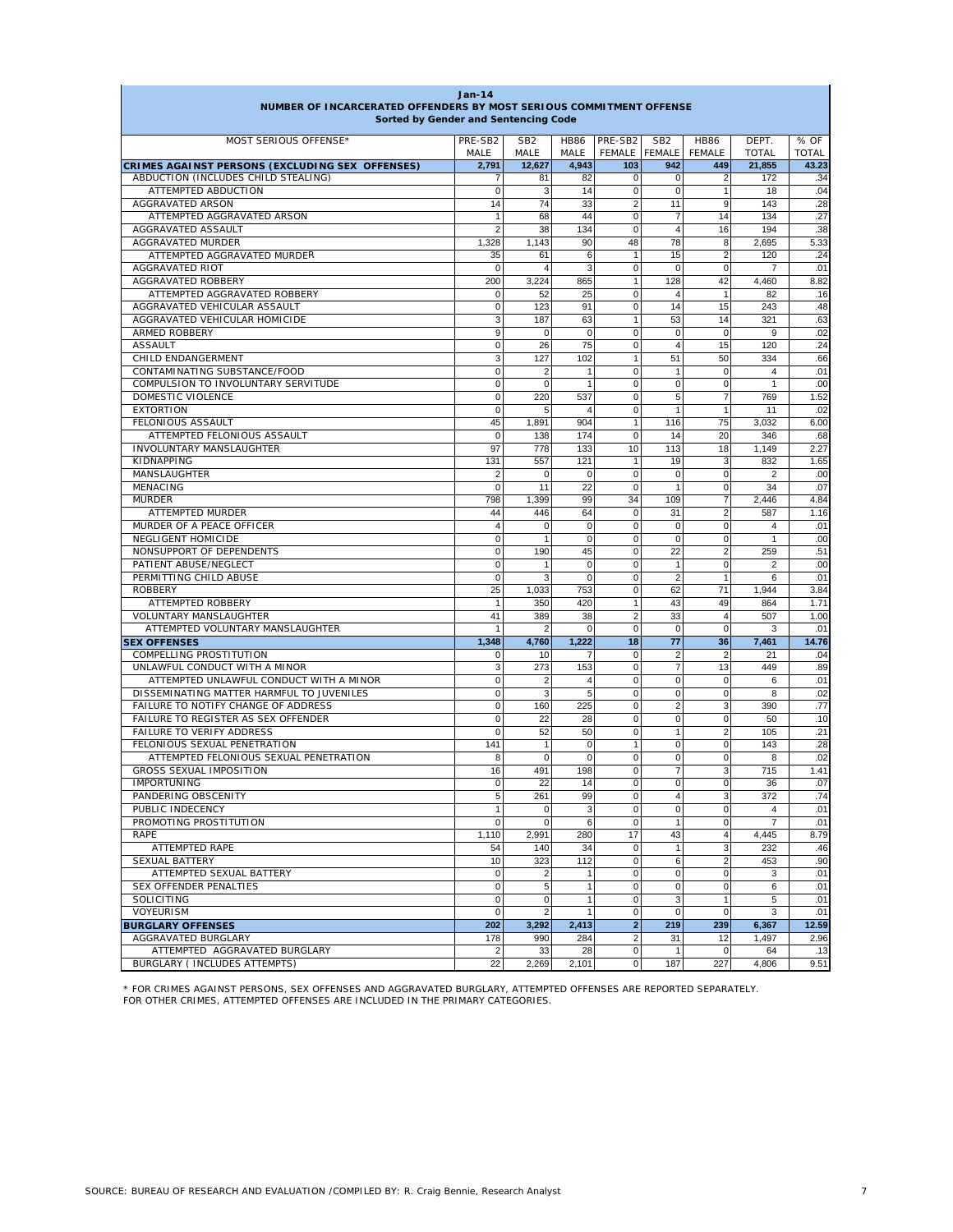| <b>Jan-14</b><br>NUMBER OF INCARCERATED OFFENDERS BY MOST SERIOUS COMMITMENT OFFENSE<br>Sorted by Gender and Sentencing Code |                    |                         |                     |                               |                            |                                        |                       |                      |  |
|------------------------------------------------------------------------------------------------------------------------------|--------------------|-------------------------|---------------------|-------------------------------|----------------------------|----------------------------------------|-----------------------|----------------------|--|
| MOST SERIOUS OFFENSE*                                                                                                        | PRE-SB2<br>MALE    | SB <sub>2</sub><br>MALE | <b>HB86</b><br>MALE | PRE-SB2<br>FEMALE FEMALE      | SB <sub>2</sub>            | <b>HB86</b><br><b>FEMALE</b>           | DEPT.<br><b>TOTAL</b> | % OF<br><b>TOTAL</b> |  |
| CRIMES AGAINST PERSONS (EXCLUDING SEX OFFENSES)                                                                              | 2.791              | 12.627                  | 4.943               | 103                           | 942                        | 449                                    | 21,855                | 43.23                |  |
| ABDUCTION (INCLUDES CHILD STEALING)                                                                                          | 7                  | 81                      | 82                  | $\mathbf 0$                   | $\mathbf 0$                | 2                                      | 172                   | .34                  |  |
| ATTEMPTED ABDUCTION                                                                                                          | $\mathbf 0$        | 3                       | 14                  | $\mathbf 0$                   | $\mathbf 0$                | $\mathbf{1}$                           | 18                    | .04                  |  |
| AGGRAVATED ARSON                                                                                                             | 14                 | 74                      | 33                  | $\overline{2}$                | 11                         | 9                                      | 143                   | .28                  |  |
| ATTEMPTED AGGRAVATED ARSON                                                                                                   | $\mathbf{1}$       | 68                      | 44                  | $\mathbf 0$                   | $\overline{7}$             | 14                                     | 134                   | .27                  |  |
| AGGRAVATED ASSAULT                                                                                                           | $\overline{2}$     | 38                      | 134                 | $\Omega$                      | $\overline{4}$             | 16                                     | 194                   | .38                  |  |
| AGGRAVATED MURDER<br>ATTEMPTED AGGRAVATED MURDER                                                                             | 1,328              | 1,143                   | 90                  | 48<br>$\mathbf{1}$            | 78                         | 8<br>$\overline{2}$                    | 2,695                 | 5.33                 |  |
| <b>AGGRAVATED RIOT</b>                                                                                                       | 35<br>$\Omega$     | 61<br>$\overline{4}$    | 6<br>3              | $\mathbf 0$                   | 15<br>$\Omega$             | 0                                      | 120<br>$\overline{7}$ | .24<br>.01           |  |
| AGGRAVATED ROBBERY                                                                                                           | 200                | 3,224                   | 865                 | 1                             | 128                        | 42                                     | 4,460                 | 8.82                 |  |
| ATTEMPTED AGGRAVATED ROBBERY                                                                                                 | $\Omega$           | 52                      | 25                  | $\mathbf 0$                   | $\overline{4}$             | $\mathbf{1}$                           | 82                    | .16                  |  |
| AGGRAVATED VEHICULAR ASSAULT                                                                                                 | $\mathbf 0$        | 123                     | 91                  | $\mathbf 0$                   | 14                         | 15                                     | 243                   | .48                  |  |
| AGGRAVATED VEHICULAR HOMICIDE                                                                                                | 3                  | 187                     | 63                  | $\mathbf{1}$                  | 53                         | 14                                     | 321                   | .63                  |  |
| <b>ARMED ROBBERY</b>                                                                                                         | 9                  | 0                       | $\pmb{0}$           | $\mathbf 0$                   | $\mathbf 0$                | $\mathbf 0$                            | 9                     | .02                  |  |
| <b>ASSAULT</b>                                                                                                               | $\mathbf 0$        | 26                      | 75                  | $\mathbf 0$                   | $\overline{4}$             | 15                                     | 120                   | .24                  |  |
| CHILD ENDANGERMENT                                                                                                           | 3                  | 127                     | 102                 | 1                             | 51                         | 50                                     | 334                   | .66                  |  |
| CONTAMINATING SUBSTANCE/FOOD                                                                                                 | $\Omega$           | $\overline{2}$          | $\mathbf{1}$        | $\mathbf 0$                   | $\mathbf{1}$               | $\mathbf 0$                            | $\overline{4}$        | .01                  |  |
| COMPULSION TO INVOLUNTARY SERVITUDE                                                                                          | $\mathbf 0$        | 0                       | 1                   | $\mathbf 0$                   | $\mathbf 0$                | $\mathbf 0$                            | 1                     | .00                  |  |
| DOMESTIC VIOLENCE                                                                                                            | $\mathbf 0$        | 220                     | 537                 | 0                             | 5                          | $\overline{7}$                         | 769                   | 1.52                 |  |
| <b>EXTORTION</b>                                                                                                             | $\mathbf 0$        | 5                       | $\overline{4}$      | $\mathbf 0$                   | $\mathbf{1}$               | $\mathbf{1}$                           | 11                    | .02                  |  |
| FELONIOUS ASSAULT                                                                                                            | 45<br>$\mathbf 0$  | 1,891                   | 904                 | $\mathbf{1}$<br>$\mathbf 0$   | 116                        | 75                                     | 3,032                 | 6.00                 |  |
| ATTEMPTED FELONIOUS ASSAULT<br>INVOLUNTARY MANSLAUGHTER                                                                      | 97                 | 138<br>778              | 174<br>133          | 10                            | 14<br>113                  | 20<br>18                               | 346<br>1,149          | .68<br>2.27          |  |
| KIDNAPPING                                                                                                                   | 131                | 557                     | 121                 | $\mathbf{1}$                  | 19                         | 3                                      | 832                   | 1.65                 |  |
| MANSLAUGHTER                                                                                                                 | 2                  | 0                       | $\mathbf 0$         | $\mathbf 0$                   | $\mathbf 0$                | $\Omega$                               | 2                     | .00                  |  |
| MENACING                                                                                                                     | $\mathbf 0$        | 11                      | 22                  | $\mathbf 0$                   | $\mathbf{1}$               | 0                                      | 34                    | .07                  |  |
| <b>MURDER</b>                                                                                                                | 798                | 1,399                   | 99                  | 34                            | 109                        | 7                                      | 2,446                 | 4.84                 |  |
| ATTEMPTED MURDER                                                                                                             | 44                 | 446                     | 64                  | $\mathbf 0$                   | 31                         | $\overline{2}$                         | 587                   | 1.16                 |  |
| MURDER OF A PEACE OFFICER                                                                                                    | $\overline{4}$     | 0                       | $\mathbf 0$         | $\mathbf 0$                   | $\mathbf 0$                | $\Omega$                               | $\overline{4}$        | .01                  |  |
| NEGLIGENT HOMICIDE                                                                                                           | $\Omega$           | $\mathbf{1}$            | $\mathbf 0$         | $\mathbf 0$                   | $\mathbf 0$                | 0                                      | $\mathbf{1}$          | .00                  |  |
| NONSUPPORT OF DEPENDENTS                                                                                                     | $\mathbf 0$        | 190                     | 45                  | $\Omega$                      | 22                         | $\overline{2}$                         | 259                   | .51                  |  |
| PATIENT ABUSE/NEGLECT                                                                                                        | $\mathbf 0$        | 1                       | $\mathbf 0$         | $\mathbf 0$                   | $\mathbf{1}$               | 0                                      | 2                     | .00                  |  |
| PERMITTING CHILD ABUSE                                                                                                       | $\mathbf 0$        | 3                       | $\mathbf 0$         | $\mathbf 0$                   | $\overline{2}$             | $\mathbf{1}$                           | 6                     | .01                  |  |
| <b>ROBBERY</b>                                                                                                               | 25                 | 1.033                   | 753                 | $\mathbf 0$                   | 62                         | 71                                     | 1.944                 | 3.84                 |  |
| ATTEMPTED ROBBERY                                                                                                            | $\mathbf{1}$       | 350                     | 420                 | $\mathbf{1}$                  | 43                         | 49                                     | 864                   | 1.71                 |  |
| VOLUNTARY MANSLAUGHTER<br>ATTEMPTED VOLUNTARY MANSLAUGHTER                                                                   | 41<br>$\mathbf{1}$ | 389<br>$\overline{2}$   | 38<br>$\mathbf 0$   | $\overline{2}$<br>$\mathbf 0$ | 33<br>$\mathbf 0$          | $\overline{\mathbf{4}}$<br>$\mathbf 0$ | 507<br>3              | 1.00<br>.01          |  |
| <b>SEX OFFENSES</b>                                                                                                          | 1,348              | 4,760                   | 1,222               | 18                            | 77                         | 36                                     | 7,461                 | 14.76                |  |
| COMPELLING PROSTITUTION                                                                                                      | 0                  | 10                      | 7                   | $\mathbf 0$                   | $\overline{2}$             | $\overline{2}$                         | 21                    | .04                  |  |
| UNLAWFUL CONDUCT WITH A MINOR                                                                                                | 3                  | 273                     | 153                 | 0                             | $\overline{7}$             | 13                                     | 449                   | .89                  |  |
| ATTEMPTED UNLAWFUL CONDUCT WITH A MINOR                                                                                      | $\mathbf 0$        | $\overline{2}$          | $\overline{4}$      | 0                             | $\mathbf 0$                | 0                                      | 6                     | .01                  |  |
| DISSEMINATING MATTER HARMFUL TO JUVENILES                                                                                    | $\mathbf 0$        | 3                       | $\overline{5}$      | $\mathbf 0$                   | $\mathbf 0$                | $\mathbf 0$                            | 8                     | .02                  |  |
| FAILURE TO NOTIFY CHANGE OF ADDRESS                                                                                          | 0                  | 160                     | 225                 | $\mathbf 0$                   | $\overline{2}$             | 3                                      | 390                   | .77                  |  |
| FAILURE TO REGISTER AS SEX OFFENDER                                                                                          | $\mathbf 0$        | 22                      | 28                  | 0                             | $\mathbf 0$                | 0                                      | 50                    | .10                  |  |
| FAILURE TO VERIFY ADDRESS                                                                                                    | $\mathbf 0$        | 52                      | 50                  | 0                             | 1                          | $\overline{2}$                         | 105                   | .21                  |  |
| FELONIOUS SEXUAL PENETRATION                                                                                                 | 141                | $\mathbf{1}$            | $\mathbf 0$         | $\mathbf{1}$                  | $\mathbf 0$                | $\Omega$                               | 143                   | .28                  |  |
| ATTEMPTED FELONIOUS SEXUAL PENETRATION                                                                                       | 8                  | 0                       | $\mathbf 0$         | $\pmb{0}$                     | $\mathbf 0$                | 0                                      | 8                     | .02                  |  |
| <b>GROSS SEXUAL IMPOSITION</b>                                                                                               | 16                 | 491                     | 198                 | $\mathbf 0$                   | $\overline{7}$             | 3                                      | 715                   | 1.41                 |  |
| <b>IMPORTUNING</b>                                                                                                           | υ                  | 22                      | 14                  | $\pmb{0}$                     | $\pmb{0}$                  | 0                                      | 36                    | .07                  |  |
| PANDERING OBSCENITY<br>PUBLIC INDECENCY                                                                                      | 5<br>1             | 261<br>$\mathbf 0$      | 99<br>3             | $\mathbf 0$<br>$\mathbf 0$    | $\overline{4}$<br>$\Omega$ | 3<br>$\mathbf 0$                       | 372<br>$\overline{4}$ | .74<br>.01           |  |
| PROMOTING PROSTITUTION                                                                                                       | $\mathbf 0$        | $\pmb{0}$               | 6                   | $\mathbf 0$                   | $\mathbf{1}$               | $\mathbf 0$                            | $\overline{7}$        | .01                  |  |
| RAPE                                                                                                                         | 1,110              | 2,991                   | 280                 | 17                            | 43                         | $\overline{4}$                         | 4,445                 | 8.79                 |  |
| ATTEMPTED RAPE                                                                                                               | 54                 | 140                     | 34                  | $\mathbf 0$                   | $\mathbf{1}$               | 3                                      | 232                   | .46                  |  |
| <b>SEXUAL BATTERY</b>                                                                                                        | 10                 | 323                     | 112                 | $\mathbf 0$                   | 6                          | 2                                      | 453                   | .90                  |  |
| ATTEMPTED SEXUAL BATTERY                                                                                                     | 0                  | 2                       | $\mathbf{1}$        | $\mathbf 0$                   | $\mathbf{0}$               | 0                                      | 3                     | .01                  |  |
| <b>SEX OFFENDER PENALTIES</b>                                                                                                | $\mathbf 0$        | 5                       | $\mathbf{1}$        | $\mathbf 0$                   | $\mathbf 0$                | 0                                      | 6                     | .01                  |  |
| SOLICITING                                                                                                                   | $\mathbf 0$        | 0                       | $\mathbf{1}$        | $\mathbf 0$                   | 3                          | $\mathbf{1}$                           | 5                     | .01                  |  |
| VOYEURISM                                                                                                                    | $\mathbf 0$        | $\overline{2}$          | $\mathbf{1}$        | $\mathbf 0$                   | $\mathbf 0$                | $\mathbf 0$                            | 3                     | .01                  |  |
| <b>BURGLARY OFFENSES</b>                                                                                                     | 202                | 3,292                   | 2,413               | $\overline{2}$                | 219                        | 239                                    | 6,367                 | 12.59                |  |
| AGGRAVATED BURGLARY                                                                                                          | 178                | 990                     | 284                 | $\overline{2}$                | 31                         | 12                                     | 1,497                 | 2.96                 |  |
| ATTEMPTED AGGRAVATED BURGLARY                                                                                                | $\overline{2}$     | 33                      | 28                  | $\mathbf 0$                   | $\mathbf{1}$               | $\mathbf 0$                            | 64                    | .13                  |  |
| BURGLARY ( INCLUDES ATTEMPTS)                                                                                                | 22                 | 2,269                   | 2,101               | $\mathbf 0$                   | 187                        | 227                                    | 4,806                 | 9.51                 |  |

\* FOR CRIMES AGAINST PERSONS, SEX OFFENSES AND AGGRAVATED BURGLARY, ATTEMPTED OFFENSES ARE REPORTED SEPARATELY. FOR OTHER CRIMES, ATTEMPTED OFFENSES ARE INCLUDED IN THE PRIMARY CATEGORIES.

 $\mathsf{L}$ 

٦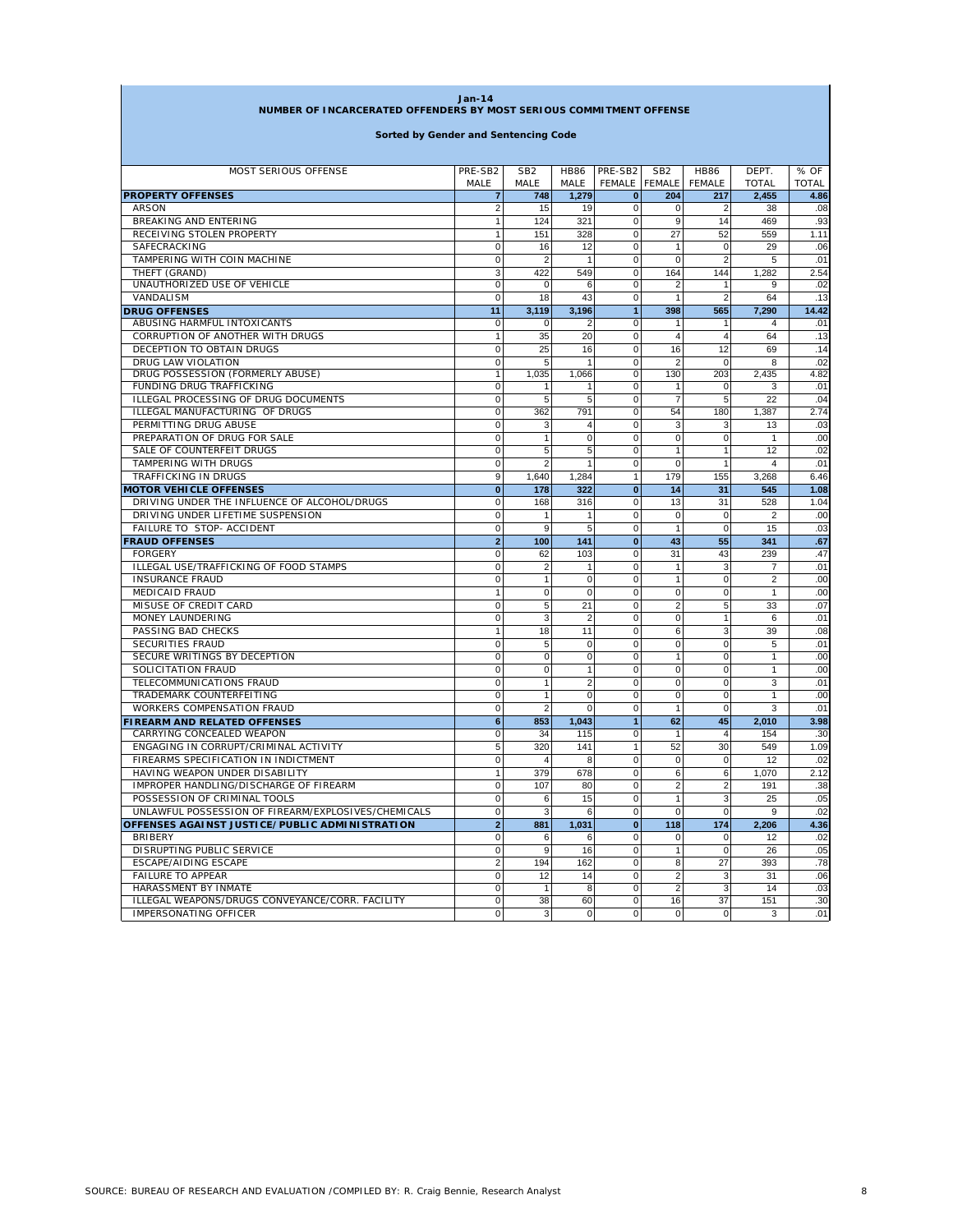| <b>Jan-14</b>                                                       |                 |                         |                     |                          |                                  |                              |                       |                      |
|---------------------------------------------------------------------|-----------------|-------------------------|---------------------|--------------------------|----------------------------------|------------------------------|-----------------------|----------------------|
| NUMBER OF INCARCERATED OFFENDERS BY MOST SERIOUS COMMITMENT OFFENSE |                 |                         |                     |                          |                                  |                              |                       |                      |
| Sorted by Gender and Sentencing Code                                |                 |                         |                     |                          |                                  |                              |                       |                      |
|                                                                     |                 |                         |                     |                          |                                  |                              |                       |                      |
| <b>MOST SERIOUS OFFENSE</b>                                         | PRE-SB2<br>MALE | SB <sub>2</sub><br>MALE | <b>HB86</b><br>MALE | PRE-SB2<br><b>FEMALE</b> | SB <sub>2</sub><br><b>FEMALE</b> | <b>HB86</b><br><b>FEMALE</b> | DEPT.<br><b>TOTAL</b> | % OF<br><b>TOTAL</b> |
| <b>PROPERTY OFFENSES</b>                                            | $\overline{7}$  | 748                     | 1,279               | 0                        | 204                              | 217                          | 2,455                 | 4.86                 |
| ARSON                                                               | 2               | 15                      | 19                  | $\mathbf 0$              | 0                                | 2                            | 38                    | .08                  |
| BREAKING AND ENTERING                                               | 1               | 124                     | 321                 | $\mathbf 0$              | 9                                | 14                           | 469                   | .93                  |
| RECEIVING STOLEN PROPERTY                                           | 1               | 151                     | 328                 | 0                        | 27                               | 52                           | 559                   | 1.11                 |
| SAFECRACKING                                                        | $\mathbf 0$     | 16                      | 12                  | $\mathbf 0$              | 1                                | $\mathbf 0$                  | 29                    | .06                  |
| TAMPERING WITH COIN MACHINE                                         | 0               | 2                       | $\mathbf{1}$        | $\mathbf 0$              | $\mathbf 0$                      | $\overline{2}$               | 5                     | .01                  |
| THEFT (GRAND)                                                       | 3               | 422                     | 549                 | $\mathbf 0$              | 164                              | 144                          | 1,282                 | 2.54                 |
| UNAUTHORIZED USE OF VEHICLE                                         | 0               | 0                       | 6                   | $\mathbf 0$              | $\overline{2}$                   | $\overline{1}$               | 9                     | .02                  |
| VANDALISM                                                           | 0               | 18                      | 43                  | $\pmb{0}$                | 1                                | $\overline{2}$               | 64                    | .13                  |
| <b>DRUG OFFENSES</b>                                                | 11              | 3,119                   | 3,196               | $\overline{1}$           | 398                              | 565                          | 7,290                 | 14.42                |
| ABUSING HARMFUL INTOXICANTS                                         | $\mathbf 0$     | 0                       | $\overline{2}$      | 0                        | 1                                | 1                            | $\overline{4}$        | .01                  |
| CORRUPTION OF ANOTHER WITH DRUGS                                    | $\mathbf{1}$    | 35                      | 20                  | $\mathbf 0$              | $\overline{4}$                   | $\overline{4}$               | 64                    | .13                  |
| DECEPTION TO OBTAIN DRUGS                                           | 0               | 25                      | 16                  | $\mathbf 0$              | 16                               | 12                           | 69                    | .14                  |
| DRUG LAW VIOLATION                                                  | 0               | 5                       | 1                   | $\mathbf 0$              | 2                                | $\mathbf 0$                  | 8                     | .02                  |
| DRUG POSSESSION (FORMERLY ABUSE)                                    | $\mathbf{1}$    | 1,035                   | 1,066               | 0                        | 130                              | 203                          | 2,435                 | 4.82                 |
| FUNDING DRUG TRAFFICKING                                            | 0               | 1                       | 1                   | $\mathbf 0$              | 1                                | $\mathbf 0$                  | 3                     | .01                  |
| ILLEGAL PROCESSING OF DRUG DOCUMENTS                                | $\mathbf 0$     | 5                       | 5                   | $\mathbf 0$              | $\overline{7}$                   | 5                            | 22                    | .04                  |
| ILLEGAL MANUFACTURING OF DRUGS                                      | 0               | 362                     | 791                 | $\mathbf 0$              | 54                               | 180                          | 1,387                 | 2.74                 |
| PERMITTING DRUG ABUSE                                               | $\mathbf 0$     | 3                       | 4                   | $\mathbf 0$              | 3                                | 3                            | 13                    | .03                  |
| PREPARATION OF DRUG FOR SALE                                        | 0               | 1                       | $\mathsf 0$         | 0                        | 0                                | 0                            | 1                     | .00                  |
| SALE OF COUNTERFEIT DRUGS                                           | $\mathbf 0$     | 5                       | 5                   | $\mathbf 0$              | 1                                | $\overline{1}$               | 12                    | .02                  |
| <b>TAMPERING WITH DRUGS</b>                                         | $\mathbf 0$     | $\overline{2}$          |                     | $\mathbf 0$              | 0                                | $\overline{1}$               | 4                     | .01                  |
| TRAFFICKING IN DRUGS                                                | 9               | 1,640                   | 1,284               | $\mathbf{1}$             | 179                              | 155                          | 3,268                 | 6.46                 |
| <b>MOTOR VEHICLE OFFENSES</b>                                       | $\bf{0}$        | 178                     | 322                 | $\bf{0}$                 | 14                               | 31                           | 545                   | 1.08                 |
| DRIVING UNDER THE INFLUENCE OF ALCOHOL/DRUGS                        | 0               | 168                     | 316                 | $\mathbf 0$              | 13                               | 31                           | 528                   | 1.04                 |
| DRIVING UNDER LIFETIME SUSPENSION                                   | $\mathbf 0$     | 1                       | $\overline{1}$      | $\mathbf 0$              | $\mathbf 0$                      | $\mathbf 0$                  | $\overline{2}$        | .00                  |
| FAILURE TO STOP- ACCIDENT                                           | $\mathbf 0$     | 9                       | 5                   | 0                        | 1                                | $\mathbf 0$                  | 15                    | .03                  |
| <b>FRAUD OFFENSES</b>                                               | $\overline{2}$  | 100                     | 141                 | $\bf{0}$                 | 43                               | 55                           | 341                   | .67                  |
| <b>FORGERY</b>                                                      | 0               | 62                      | 103                 | $\mathbf 0$              | 31                               | 43                           | 239                   | .47                  |
| ILLEGAL USE/TRAFFICKING OF FOOD STAMPS                              | $\mathbf 0$     | $\overline{\mathbf{c}}$ |                     | $\mathbf 0$              | 1                                | 3                            | $\overline{7}$        | .01                  |
| <b>INSURANCE FRAUD</b>                                              | $\mathbf 0$     | $\mathbf{1}$            | $\mathbf 0$         | 0                        | 1                                | $\mathbf 0$                  | $\overline{2}$        | .00                  |
| <b>MEDICAID FRAUD</b>                                               | 1               | $\mathbf 0$             | $\mathbf 0$         | $\mathbf 0$              | 0                                | $\mathbf 0$                  | $\mathbf{1}$          | .00                  |
| MISUSE OF CREDIT CARD                                               | 0               | 5                       | 21                  | $\mathbf 0$              | $\sqrt{2}$                       | 5                            | 33                    | .07                  |
| <b>MONEY LAUNDERING</b>                                             | $\mathbf 0$     | 3                       | $\overline{2}$      | $\mathbf 0$              | $\mathbf 0$                      | $\overline{1}$               | 6                     | .01                  |
| PASSING BAD CHECKS                                                  | $\mathbf{1}$    | 18                      | 11                  | $\pmb{0}$                | 6                                | 3                            | 39                    | .08                  |
| SECURITIES FRAUD                                                    | $\mathbf 0$     | 5                       | $\mathbf 0$         | $\mathbf 0$              | 0                                | $\mathbf 0$                  | 5                     | .01                  |
| SECURE WRITINGS BY DECEPTION                                        | 0               | $\mathbf 0$             | 0                   | $\mathbf 0$              | 1                                | $\mathbf 0$                  | 1                     | .00                  |
| SOLICITATION FRAUD                                                  | $\mathbf 0$     | 0                       | 1                   | $\mathbf 0$              | $\mathbf 0$                      | $\mathbf 0$                  | 1                     | .00                  |
| TELECOMMUNICATIONS FRAUD                                            | $\mathbf 0$     | 1                       | $\overline{2}$      | 0                        | 0                                | $\mathbf 0$                  | 3                     | .01                  |
| TRADEMARK COUNTERFEITING                                            | $\mathbf 0$     | $\mathbf{1}$            | 0                   | 0                        | $\mathbf 0$                      | $\mathbf 0$                  | 1                     | .00                  |
| WORKERS COMPENSATION FRAUD                                          | 0               | $\overline{2}$          | 0                   | $\mathbf 0$              | 1                                | 0                            | 3                     | .01                  |
| <b>FIREARM AND RELATED OFFENSES</b>                                 | 6               | 853                     | 1,043               | $\mathbf{1}$             | 62                               | 45                           | 2,010                 | 3.98                 |
| CARRYING CONCEALED WEAPON                                           | $\mathbf 0$     | 34                      | 115                 | 0                        | 1                                | $\overline{4}$               | 154                   | .30                  |
| ENGAGING IN CORRUPT/CRIMINAL ACTIVITY                               | 5               | 320                     | 141                 | $\mathbf{1}$             | 52                               | 30                           | 549                   | 1.09                 |
| FIREARMS SPECIFICATION IN INDICTMENT                                | 0               | $\overline{4}$          | 8                   | 0                        | 0                                | 0                            | 12                    | .02                  |
| HAVING WEAPON UNDER DISABILITY                                      | $\mathbf{1}$    | 379                     | 678                 | $\mathbf 0$              | 6                                | 6                            | 1,070                 | 2.12                 |
| IMPROPER HANDLING/DISCHARGE OF FIREARM                              | $\mathbf 0$     | 107                     | 80                  | $\mathbf 0$              | $\overline{2}$                   | $\overline{2}$               | 191                   | .38                  |
| POSSESSION OF CRIMINAL TOOLS                                        | $\mathbf 0$     | 6                       | 15                  | $\overline{0}$           | $\mathbf{1}$                     | 3                            | 25                    | .05                  |
| UNLAWFUL POSSESSION OF FIREARM/EXPLOSIVES/CHEMICALS                 | $\mathbf 0$     | 3                       | 6                   | $\overline{0}$           | $\mathbf 0$                      | $\mathbf 0$                  | 9                     | .02                  |
| OFFENSES AGAINST JUSTICE/PUBLIC ADMINISTRATION                      | $\overline{2}$  | 881                     | 1,031               | 0                        | 118                              | 174                          | 2,206                 | 4.36                 |
| <b>BRIBERY</b>                                                      | $\mathbf 0$     | 6                       | 6                   | $\mathbf 0$              | 0                                | $\mathbf 0$                  | 12                    | .02                  |
| DISRUPTING PUBLIC SERVICE                                           | $\mathbf 0$     | 9                       | 16                  | $\circ$                  | $\mathbf{1}$                     | $\mathbf 0$                  | 26                    | .05                  |
| <b>ESCAPE/AIDING ESCAPE</b>                                         | $\overline{2}$  | 194                     | 162                 | $\overline{0}$           | 8                                | 27                           | 393                   | .78                  |
| <b>FAILURE TO APPEAR</b>                                            | 0               | 12                      | 14                  | $\overline{0}$           | $\boldsymbol{2}$                 | 3                            | 31                    | .06                  |
| HARASSMENT BY INMATE                                                | $\mathbf 0$     | $\mathbf{1}$            | 8                   | $\overline{0}$           | $\overline{2}$                   | 3                            | 14                    | .03                  |
| ILLEGAL WEAPONS/DRUGS CONVEYANCE/CORR. FACILITY                     | $\mathbf 0$     | 38                      | 60                  | $\overline{0}$           | 16                               | 37                           | 151                   | .30                  |
| IMPERSONATING OFFICER                                               | $\mathbf 0$     | 3                       | $\mathbf 0$         | $\overline{0}$           | $\mathbf 0$                      | $\mathbf 0$                  | 3                     | .01                  |

n,